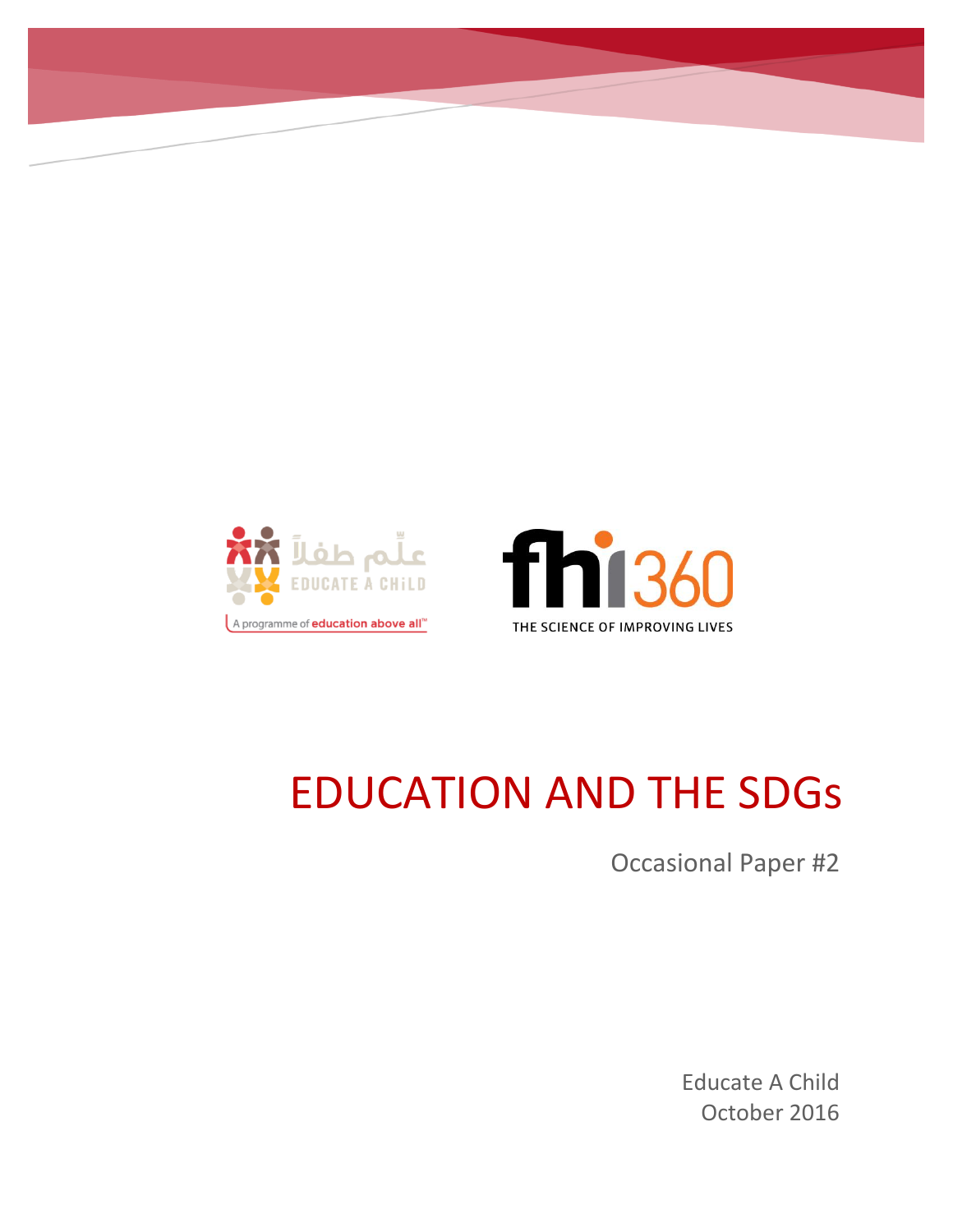



# EDUCATION AND THE SDGs

Occasional Paper #2

Educate A Child October 2016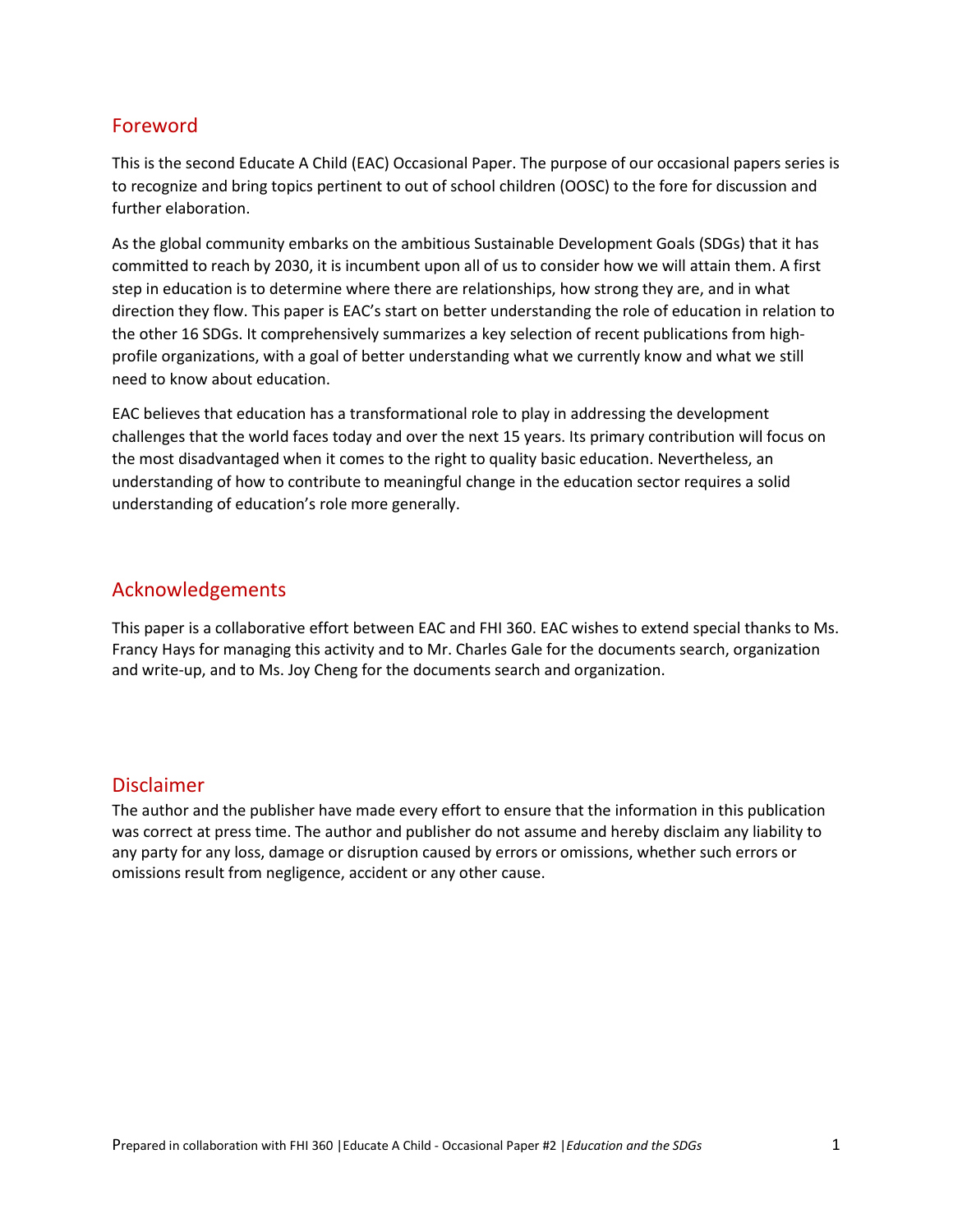### Foreword

This is the second Educate A Child (EAC) Occasional Paper. The purpose of our occasional papers series is to recognize and bring topics pertinent to out of school children (OOSC) to the fore for discussion and further elaboration.

As the global community embarks on the ambitious Sustainable Development Goals (SDGs) that it has committed to reach by 2030, it is incumbent upon all of us to consider how we will attain them. A first step in education is to determine where there are relationships, how strong they are, and in what direction they flow. This paper is EAC's start on better understanding the role of education in relation to the other 16 SDGs. It comprehensively summarizes a key selection of recent publications from highprofile organizations, with a goal of better understanding what we currently know and what we still need to know about education.

EAC believes that education has a transformational role to play in addressing the development challenges that the world faces today and over the next 15 years. Its primary contribution will focus on the most disadvantaged when it comes to the right to quality basic education. Nevertheless, an understanding of how to contribute to meaningful change in the education sector requires a solid understanding of education's role more generally.

### Acknowledgements

This paper is a collaborative effort between EAC and FHI 360. EAC wishes to extend special thanks to Ms. Francy Hays for managing this activity and to Mr. Charles Gale for the documents search, organization and write-up, and to Ms. Joy Cheng for the documents search and organization.

### Disclaimer

The author and the publisher have made every effort to ensure that the information in this publication was correct at press time. The author and publisher do not assume and hereby disclaim any liability to any party for any loss, damage or disruption caused by errors or omissions, whether such errors or omissions result from negligence, accident or any other cause.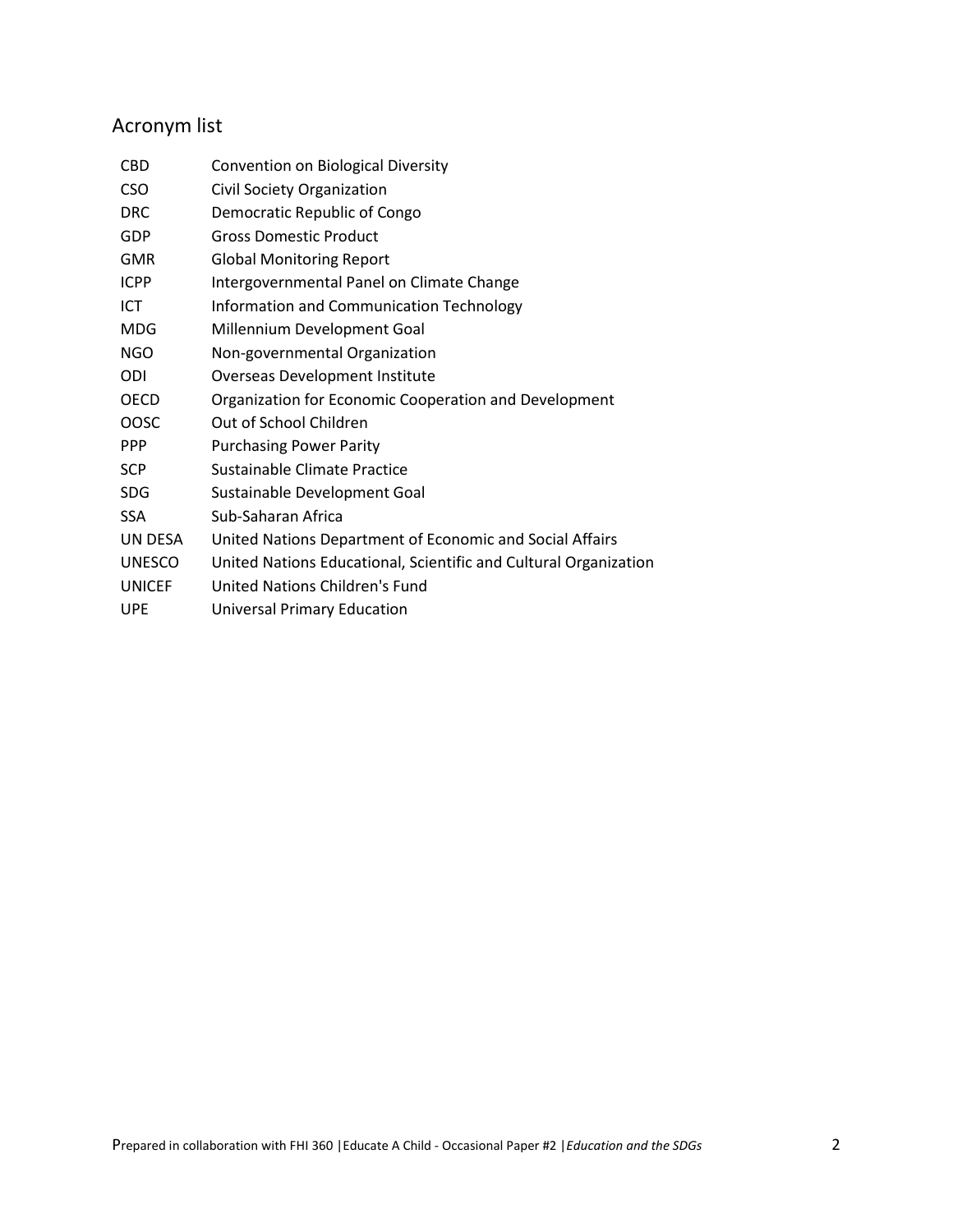## Acronym list

| <b>CBD</b>    | Convention on Biological Diversity                               |  |  |
|---------------|------------------------------------------------------------------|--|--|
| <b>CSO</b>    | Civil Society Organization                                       |  |  |
| <b>DRC</b>    | Democratic Republic of Congo                                     |  |  |
| <b>GDP</b>    | <b>Gross Domestic Product</b>                                    |  |  |
| <b>GMR</b>    | <b>Global Monitoring Report</b>                                  |  |  |
| <b>ICPP</b>   | Intergovernmental Panel on Climate Change                        |  |  |
| ICT           | Information and Communication Technology                         |  |  |
| <b>MDG</b>    | Millennium Development Goal                                      |  |  |
| <b>NGO</b>    | Non-governmental Organization                                    |  |  |
| ODI           | Overseas Development Institute                                   |  |  |
| <b>OECD</b>   | Organization for Economic Cooperation and Development            |  |  |
| <b>OOSC</b>   | Out of School Children                                           |  |  |
| <b>PPP</b>    | <b>Purchasing Power Parity</b>                                   |  |  |
| <b>SCP</b>    | Sustainable Climate Practice                                     |  |  |
| <b>SDG</b>    | Sustainable Development Goal                                     |  |  |
| <b>SSA</b>    | Sub-Saharan Africa                                               |  |  |
| UN DESA       | United Nations Department of Economic and Social Affairs         |  |  |
| <b>UNESCO</b> | United Nations Educational, Scientific and Cultural Organization |  |  |
| <b>UNICEF</b> | United Nations Children's Fund                                   |  |  |
| <b>UPE</b>    | Universal Primary Education                                      |  |  |
|               |                                                                  |  |  |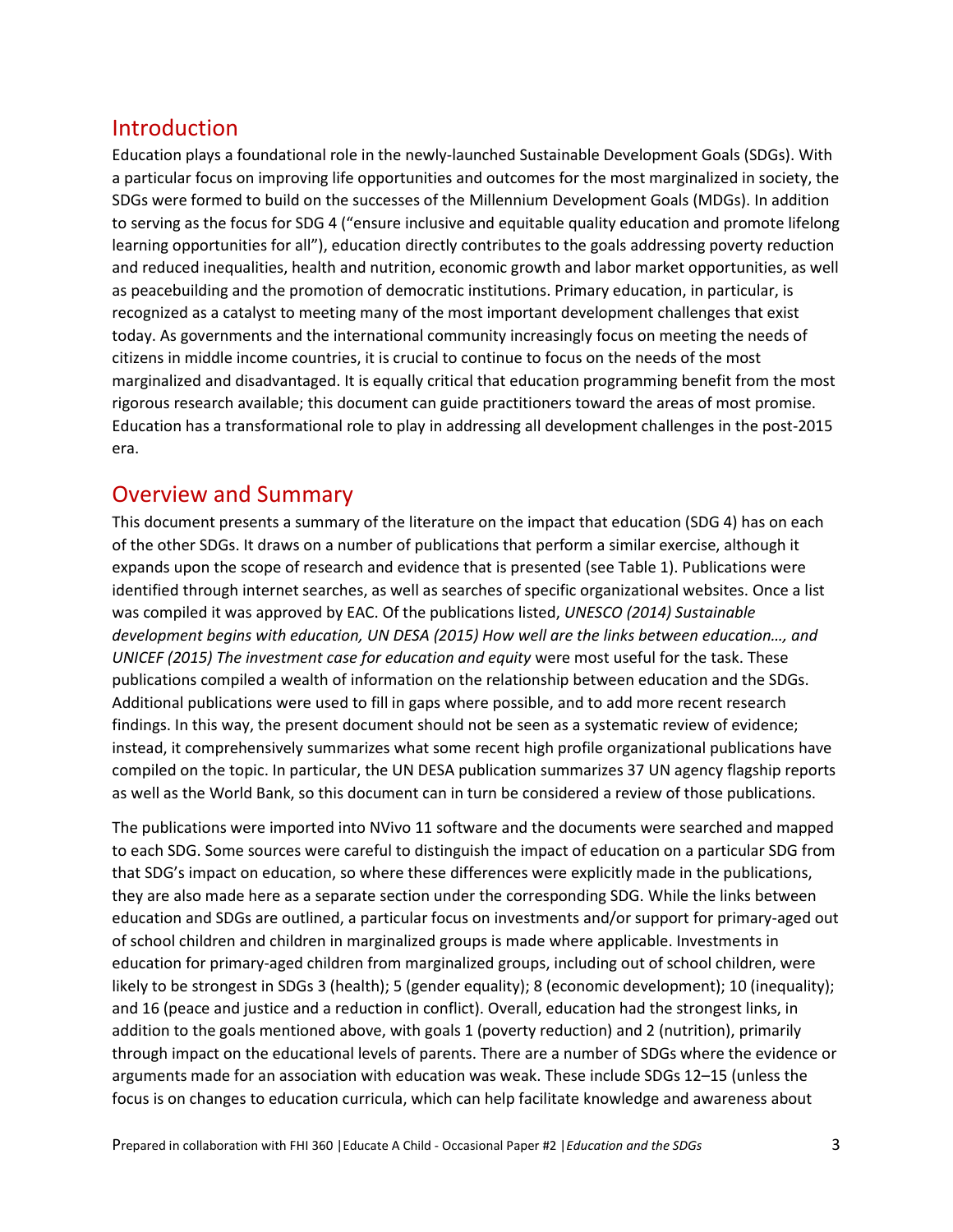### Introduction

Education plays a foundational role in the newly-launched Sustainable Development Goals (SDGs). With a particular focus on improving life opportunities and outcomes for the most marginalized in society, the SDGs were formed to build on the successes of the Millennium Development Goals (MDGs). In addition to serving as the focus for SDG 4 ("ensure inclusive and equitable quality education and promote lifelong learning opportunities for all"), education directly contributes to the goals addressing poverty reduction and reduced inequalities, health and nutrition, economic growth and labor market opportunities, as well as peacebuilding and the promotion of democratic institutions. Primary education, in particular, is recognized as a catalyst to meeting many of the most important development challenges that exist today. As governments and the international community increasingly focus on meeting the needs of citizens in middle income countries, it is crucial to continue to focus on the needs of the most marginalized and disadvantaged. It is equally critical that education programming benefit from the most rigorous research available; this document can guide practitioners toward the areas of most promise. Education has a transformational role to play in addressing all development challenges in the post-2015 era.

### Overview and Summary

This document presents a summary of the literature on the impact that education (SDG 4) has on each of the other SDGs. It draws on a number of publications that perform a similar exercise, although it expands upon the scope of research and evidence that is presented (see Table 1). Publications were identified through internet searches, as well as searches of specific organizational websites. Once a list was compiled it was approved by EAC. Of the publications listed, *UNESCO (2014) Sustainable development begins with education, UN DESA (2015) How well are the links between education…, and UNICEF (2015) The investment case for education and equity* were most useful for the task. These publications compiled a wealth of information on the relationship between education and the SDGs. Additional publications were used to fill in gaps where possible, and to add more recent research findings. In this way, the present document should not be seen as a systematic review of evidence; instead, it comprehensively summarizes what some recent high profile organizational publications have compiled on the topic. In particular, the UN DESA publication summarizes 37 UN agency flagship reports as well as the World Bank, so this document can in turn be considered a review of those publications.

The publications were imported into NVivo 11 software and the documents were searched and mapped to each SDG. Some sources were careful to distinguish the impact of education on a particular SDG from that SDG's impact on education, so where these differences were explicitly made in the publications, they are also made here as a separate section under the corresponding SDG. While the links between education and SDGs are outlined, a particular focus on investments and/or support for primary-aged out of school children and children in marginalized groups is made where applicable. Investments in education for primary-aged children from marginalized groups, including out of school children, were likely to be strongest in SDGs 3 (health); 5 (gender equality); 8 (economic development); 10 (inequality); and 16 (peace and justice and a reduction in conflict). Overall, education had the strongest links, in addition to the goals mentioned above, with goals 1 (poverty reduction) and 2 (nutrition), primarily through impact on the educational levels of parents. There are a number of SDGs where the evidence or arguments made for an association with education was weak. These include SDGs 12–15 (unless the focus is on changes to education curricula, which can help facilitate knowledge and awareness about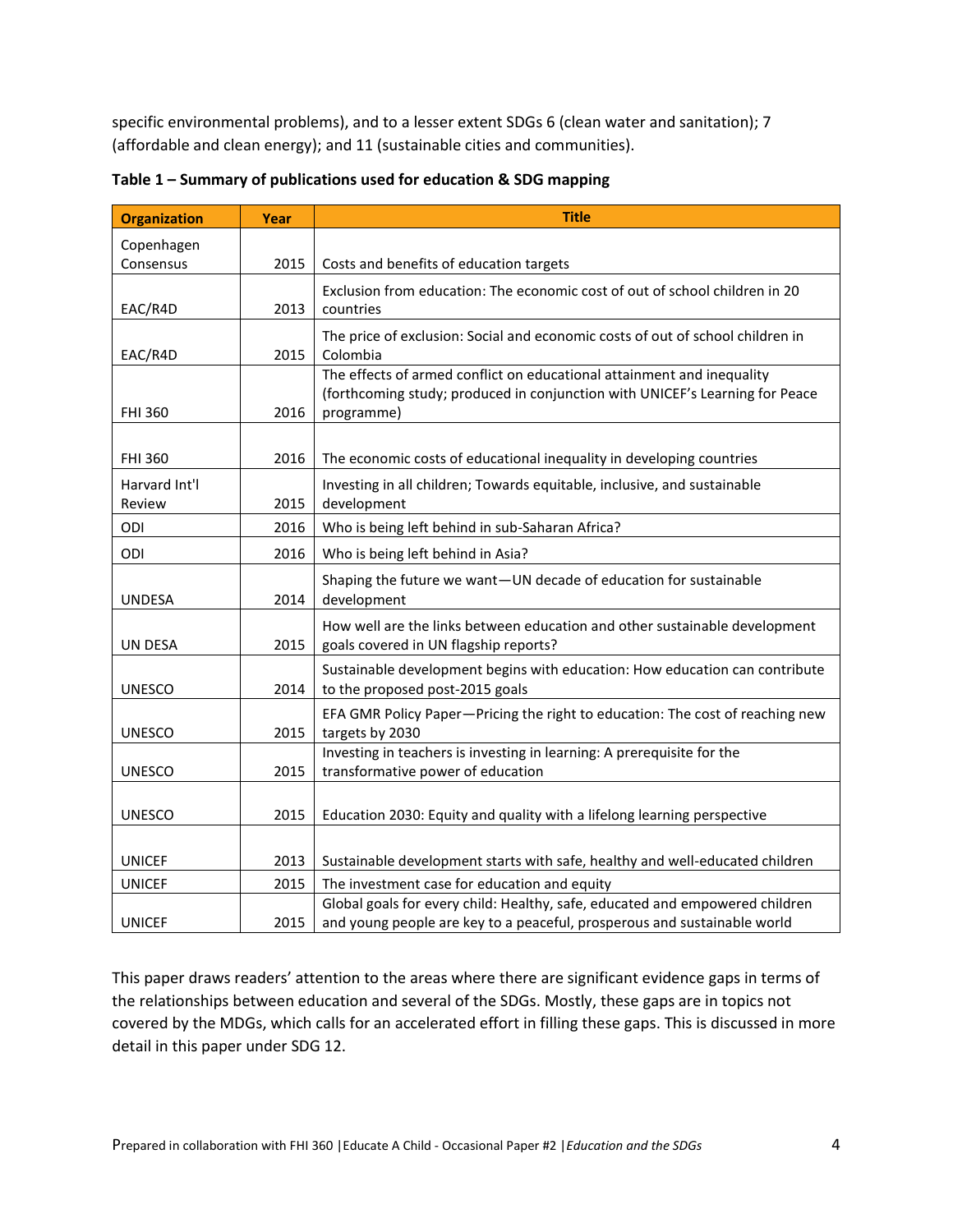specific environmental problems), and to a lesser extent SDGs 6 (clean water and sanitation); 7 (affordable and clean energy); and 11 (sustainable cities and communities).

| <b>Organization</b>     | Year | <b>Title</b>                                                                                                                                                         |
|-------------------------|------|----------------------------------------------------------------------------------------------------------------------------------------------------------------------|
| Copenhagen              |      |                                                                                                                                                                      |
| Consensus               | 2015 | Costs and benefits of education targets                                                                                                                              |
| EAC/R4D                 | 2013 | Exclusion from education: The economic cost of out of school children in 20<br>countries                                                                             |
| EAC/R4D                 | 2015 | The price of exclusion: Social and economic costs of out of school children in<br>Colombia                                                                           |
| <b>FHI 360</b>          | 2016 | The effects of armed conflict on educational attainment and inequality<br>(forthcoming study; produced in conjunction with UNICEF's Learning for Peace<br>programme) |
| <b>FHI 360</b>          | 2016 | The economic costs of educational inequality in developing countries                                                                                                 |
| Harvard Int'l<br>Review | 2015 | Investing in all children; Towards equitable, inclusive, and sustainable<br>development                                                                              |
| ODI                     | 2016 | Who is being left behind in sub-Saharan Africa?                                                                                                                      |
| ODI                     | 2016 | Who is being left behind in Asia?                                                                                                                                    |
| <b>UNDESA</b>           | 2014 | Shaping the future we want-UN decade of education for sustainable<br>development                                                                                     |
| UN DESA                 | 2015 | How well are the links between education and other sustainable development<br>goals covered in UN flagship reports?                                                  |
| <b>UNESCO</b>           | 2014 | Sustainable development begins with education: How education can contribute<br>to the proposed post-2015 goals                                                       |
| <b>UNESCO</b>           | 2015 | EFA GMR Policy Paper-Pricing the right to education: The cost of reaching new<br>targets by 2030                                                                     |
| <b>UNESCO</b>           | 2015 | Investing in teachers is investing in learning: A prerequisite for the<br>transformative power of education                                                          |
| <b>UNESCO</b>           | 2015 | Education 2030: Equity and quality with a lifelong learning perspective                                                                                              |
| <b>UNICEF</b>           | 2013 | Sustainable development starts with safe, healthy and well-educated children                                                                                         |
| <b>UNICEF</b>           | 2015 | The investment case for education and equity                                                                                                                         |
| <b>UNICEF</b>           | 2015 | Global goals for every child: Healthy, safe, educated and empowered children<br>and young people are key to a peaceful, prosperous and sustainable world             |

**Table 1 – Summary of publications used for education & SDG mapping**

This paper draws readers' attention to the areas where there are significant evidence gaps in terms of the relationships between education and several of the SDGs. Mostly, these gaps are in topics not covered by the MDGs, which calls for an accelerated effort in filling these gaps. This is discussed in more detail in this paper under SDG 12.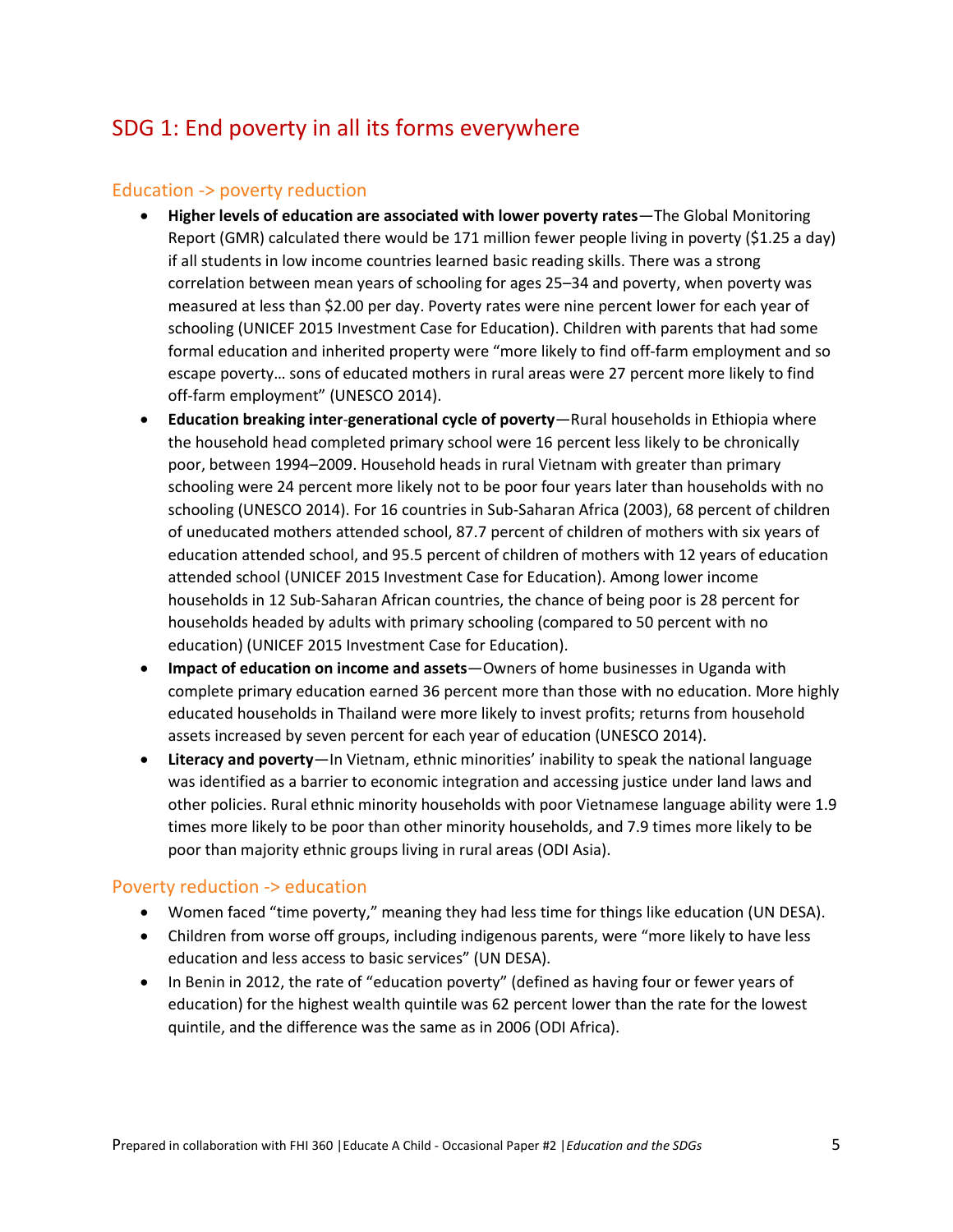### SDG 1: End poverty in all its forms everywhere

### Education -> poverty reduction

- **Higher levels of education are associated with lower poverty rates**—The Global Monitoring Report (GMR) calculated there would be 171 million fewer people living in poverty (\$1.25 a day) if all students in low income countries learned basic reading skills. There was a strong correlation between mean years of schooling for ages 25–34 and poverty, when poverty was measured at less than \$2.00 per day. Poverty rates were nine percent lower for each year of schooling (UNICEF 2015 Investment Case for Education). Children with parents that had some formal education and inherited property were "more likely to find off-farm employment and so escape poverty… sons of educated mothers in rural areas were 27 percent more likely to find off-farm employment" (UNESCO 2014).
- **Education breaking inter**-**generational cycle of poverty**—Rural households in Ethiopia where the household head completed primary school were 16 percent less likely to be chronically poor, between 1994–2009. Household heads in rural Vietnam with greater than primary schooling were 24 percent more likely not to be poor four years later than households with no schooling (UNESCO 2014). For 16 countries in Sub-Saharan Africa (2003), 68 percent of children of uneducated mothers attended school, 87.7 percent of children of mothers with six years of education attended school, and 95.5 percent of children of mothers with 12 years of education attended school (UNICEF 2015 Investment Case for Education). Among lower income households in 12 Sub-Saharan African countries, the chance of being poor is 28 percent for households headed by adults with primary schooling (compared to 50 percent with no education) (UNICEF 2015 Investment Case for Education).
- **Impact of education on income and assets**—Owners of home businesses in Uganda with complete primary education earned 36 percent more than those with no education. More highly educated households in Thailand were more likely to invest profits; returns from household assets increased by seven percent for each year of education (UNESCO 2014).
- **Literacy and poverty**—In Vietnam, ethnic minorities' inability to speak the national language was identified as a barrier to economic integration and accessing justice under land laws and other policies. Rural ethnic minority households with poor Vietnamese language ability were 1.9 times more likely to be poor than other minority households, and 7.9 times more likely to be poor than majority ethnic groups living in rural areas (ODI Asia).

### Poverty reduction -> education

- Women faced "time poverty," meaning they had less time for things like education (UN DESA).
- Children from worse off groups, including indigenous parents, were "more likely to have less education and less access to basic services" (UN DESA).
- In Benin in 2012, the rate of "education poverty" (defined as having four or fewer years of education) for the highest wealth quintile was 62 percent lower than the rate for the lowest quintile, and the difference was the same as in 2006 (ODI Africa).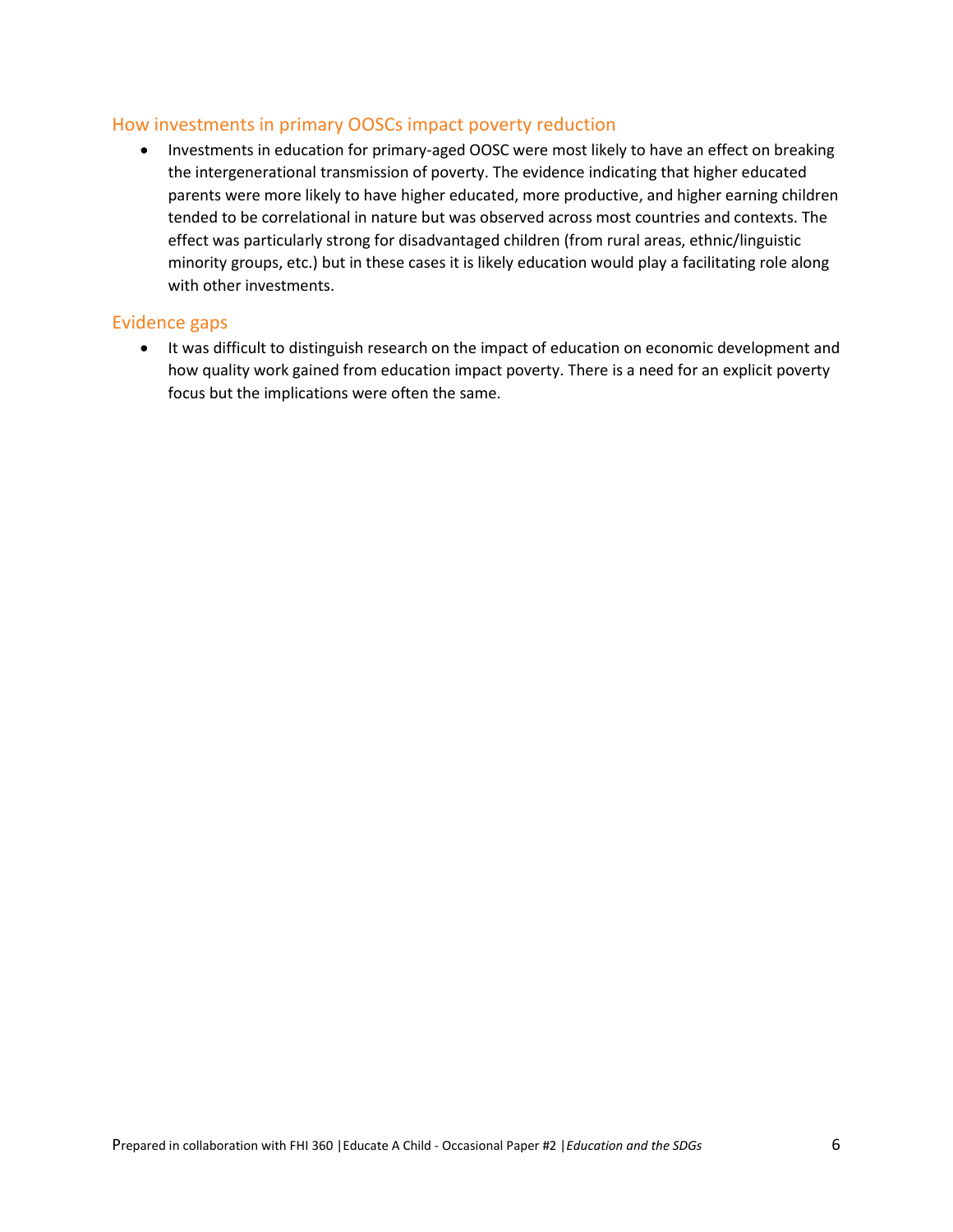### How investments in primary OOSCs impact poverty reduction

• Investments in education for primary-aged OOSC were most likely to have an effect on breaking the intergenerational transmission of poverty. The evidence indicating that higher educated parents were more likely to have higher educated, more productive, and higher earning children tended to be correlational in nature but was observed across most countries and contexts. The effect was particularly strong for disadvantaged children (from rural areas, ethnic/linguistic minority groups, etc.) but in these cases it is likely education would play a facilitating role along with other investments.

### Evidence gaps

• It was difficult to distinguish research on the impact of education on economic development and how quality work gained from education impact poverty. There is a need for an explicit poverty focus but the implications were often the same.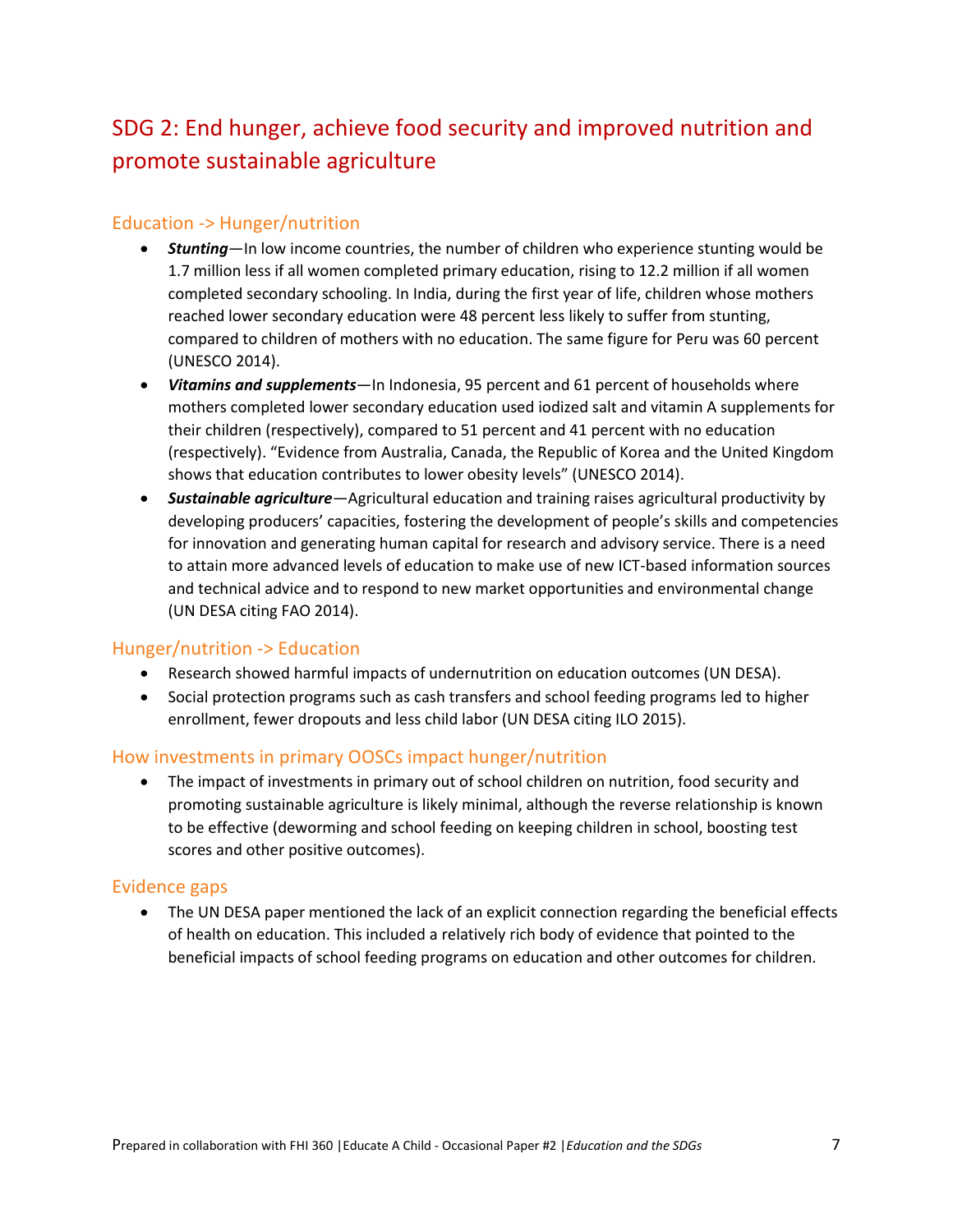# SDG 2: End hunger, achieve food security and improved nutrition and promote sustainable agriculture

### Education -> Hunger/nutrition

- *Stunting*—In low income countries, the number of children who experience stunting would be 1.7 million less if all women completed primary education, rising to 12.2 million if all women completed secondary schooling. In India, during the first year of life, children whose mothers reached lower secondary education were 48 percent less likely to suffer from stunting, compared to children of mothers with no education. The same figure for Peru was 60 percent (UNESCO 2014).
- *Vitamins and supplements*—In Indonesia, 95 percent and 61 percent of households where mothers completed lower secondary education used iodized salt and vitamin A supplements for their children (respectively), compared to 51 percent and 41 percent with no education (respectively). "Evidence from Australia, Canada, the Republic of Korea and the United Kingdom shows that education contributes to lower obesity levels" (UNESCO 2014).
- *Sustainable agriculture*—Agricultural education and training raises agricultural productivity by developing producers' capacities, fostering the development of people's skills and competencies for innovation and generating human capital for research and advisory service. There is a need to attain more advanced levels of education to make use of new ICT-based information sources and technical advice and to respond to new market opportunities and environmental change (UN DESA citing FAO 2014).

### Hunger/nutrition -> Education

- Research showed harmful impacts of undernutrition on education outcomes (UN DESA).
- Social protection programs such as cash transfers and school feeding programs led to higher enrollment, fewer dropouts and less child labor (UN DESA citing ILO 2015).

### How investments in primary OOSCs impact hunger/nutrition

 The impact of investments in primary out of school children on nutrition, food security and promoting sustainable agriculture is likely minimal, although the reverse relationship is known to be effective (deworming and school feeding on keeping children in school, boosting test scores and other positive outcomes).

### Evidence gaps

 The UN DESA paper mentioned the lack of an explicit connection regarding the beneficial effects of health on education. This included a relatively rich body of evidence that pointed to the beneficial impacts of school feeding programs on education and other outcomes for children.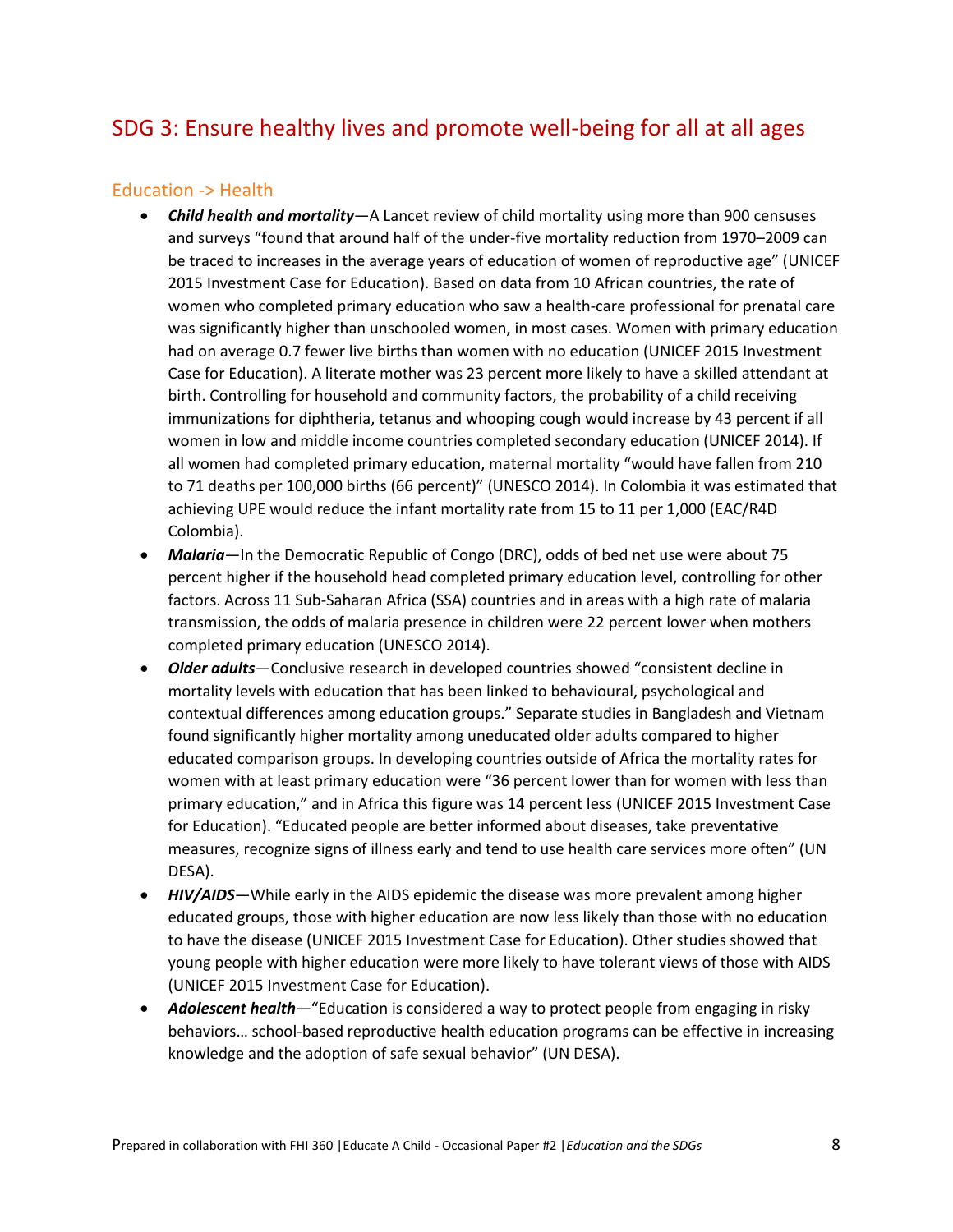### SDG 3: Ensure healthy lives and promote well-being for all at all ages

### Education -> Health

- *Child health and mortality*—A Lancet review of child mortality using more than 900 censuses and surveys "found that around half of the under-five mortality reduction from 1970–2009 can be traced to increases in the average years of education of women of reproductive age" (UNICEF 2015 Investment Case for Education). Based on data from 10 African countries, the rate of women who completed primary education who saw a health-care professional for prenatal care was significantly higher than unschooled women, in most cases. Women with primary education had on average 0.7 fewer live births than women with no education (UNICEF 2015 Investment Case for Education). A literate mother was 23 percent more likely to have a skilled attendant at birth. Controlling for household and community factors, the probability of a child receiving immunizations for diphtheria, tetanus and whooping cough would increase by 43 percent if all women in low and middle income countries completed secondary education (UNICEF 2014). If all women had completed primary education, maternal mortality "would have fallen from 210 to 71 deaths per 100,000 births (66 percent)" (UNESCO 2014). In Colombia it was estimated that achieving UPE would reduce the infant mortality rate from 15 to 11 per 1,000 (EAC/R4D Colombia).
- *Malaria*—In the Democratic Republic of Congo (DRC), odds of bed net use were about 75 percent higher if the household head completed primary education level, controlling for other factors. Across 11 Sub-Saharan Africa (SSA) countries and in areas with a high rate of malaria transmission, the odds of malaria presence in children were 22 percent lower when mothers completed primary education (UNESCO 2014).
- *Older adults*—Conclusive research in developed countries showed "consistent decline in mortality levels with education that has been linked to behavioural, psychological and contextual differences among education groups." Separate studies in Bangladesh and Vietnam found significantly higher mortality among uneducated older adults compared to higher educated comparison groups. In developing countries outside of Africa the mortality rates for women with at least primary education were "36 percent lower than for women with less than primary education," and in Africa this figure was 14 percent less (UNICEF 2015 Investment Case for Education). "Educated people are better informed about diseases, take preventative measures, recognize signs of illness early and tend to use health care services more often" (UN DESA).
- *HIV/AIDS*—While early in the AIDS epidemic the disease was more prevalent among higher educated groups, those with higher education are now less likely than those with no education to have the disease (UNICEF 2015 Investment Case for Education). Other studies showed that young people with higher education were more likely to have tolerant views of those with AIDS (UNICEF 2015 Investment Case for Education).
- *Adolescent health*—"Education is considered a way to protect people from engaging in risky behaviors… school-based reproductive health education programs can be effective in increasing knowledge and the adoption of safe sexual behavior" (UN DESA).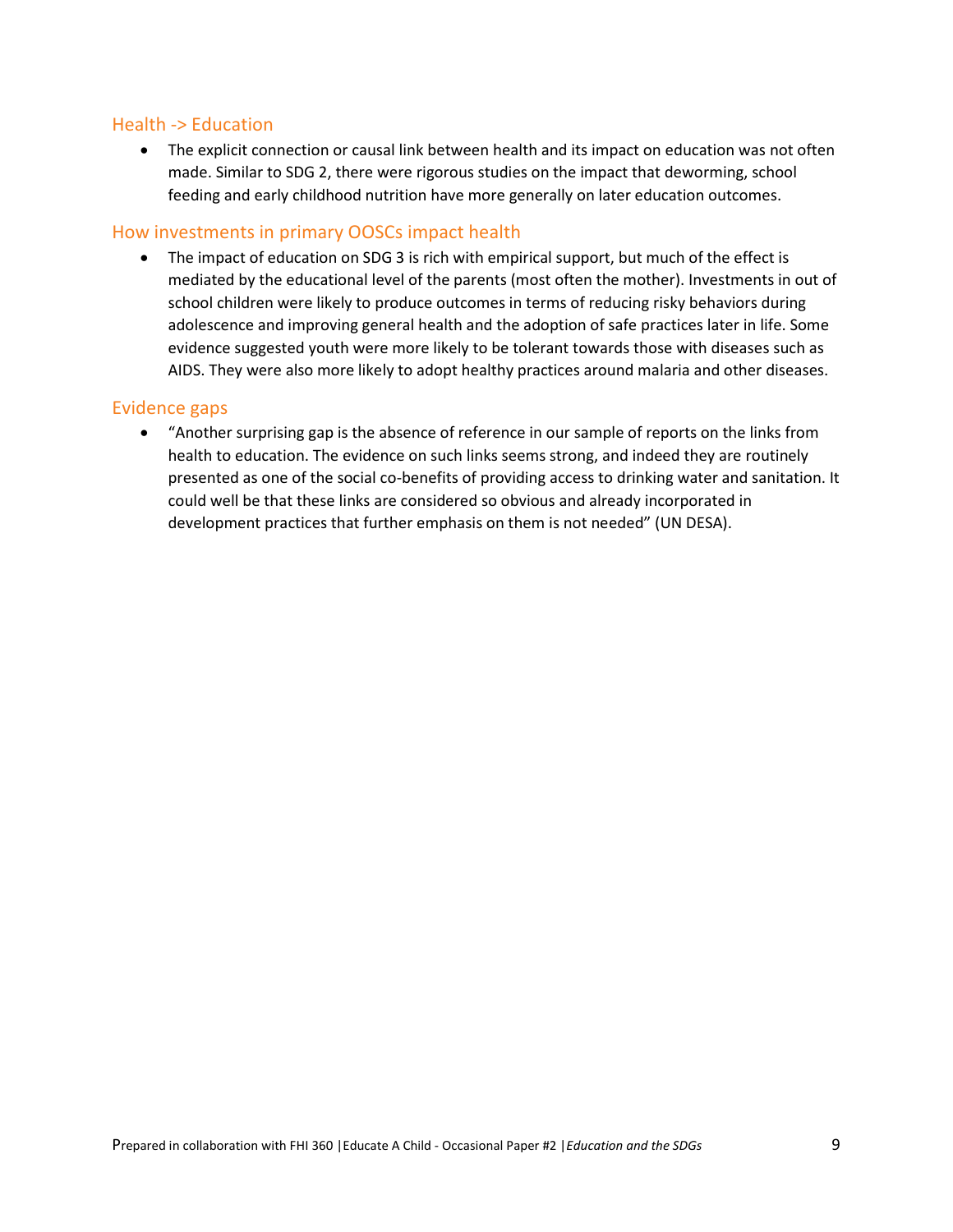#### Health -> Education

 The explicit connection or causal link between health and its impact on education was not often made. Similar to SDG 2, there were rigorous studies on the impact that deworming, school feeding and early childhood nutrition have more generally on later education outcomes.

#### How investments in primary OOSCs impact health

• The impact of education on SDG 3 is rich with empirical support, but much of the effect is mediated by the educational level of the parents (most often the mother). Investments in out of school children were likely to produce outcomes in terms of reducing risky behaviors during adolescence and improving general health and the adoption of safe practices later in life. Some evidence suggested youth were more likely to be tolerant towards those with diseases such as AIDS. They were also more likely to adopt healthy practices around malaria and other diseases.

#### Evidence gaps

 "Another surprising gap is the absence of reference in our sample of reports on the links from health to education. The evidence on such links seems strong, and indeed they are routinely presented as one of the social co-benefits of providing access to drinking water and sanitation. It could well be that these links are considered so obvious and already incorporated in development practices that further emphasis on them is not needed" (UN DESA).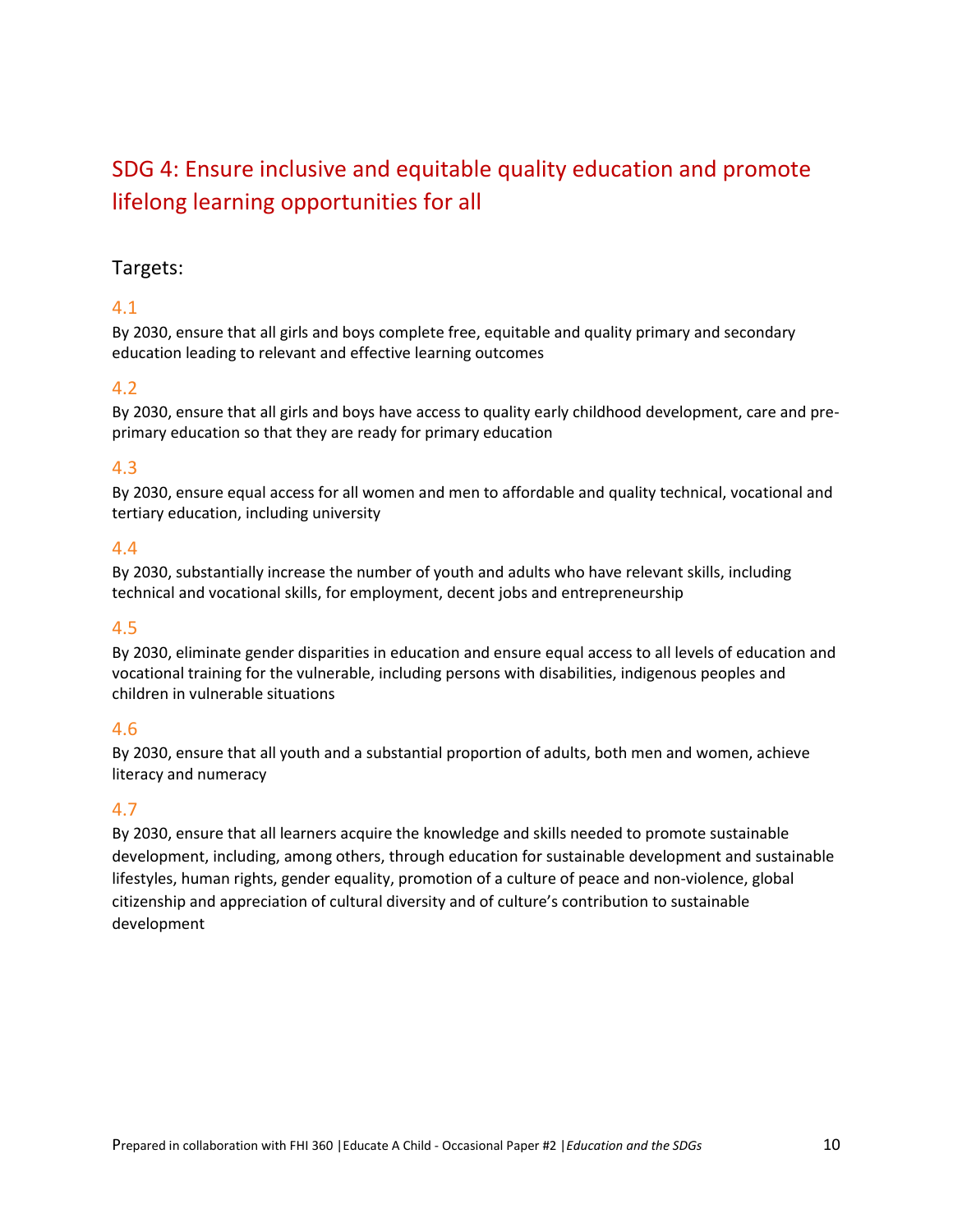# SDG 4: Ensure inclusive and equitable quality education and promote lifelong learning opportunities for all

### Targets:

### 4.1

By 2030, ensure that all girls and boys complete free, equitable and quality primary and secondary education leading to relevant and effective learning outcomes

### 4.2

By 2030, ensure that all girls and boys have access to quality early childhood development, care and preprimary education so that they are ready for primary education

### 4.3

By 2030, ensure equal access for all women and men to affordable and quality technical, vocational and tertiary education, including university

### 4.4

By 2030, substantially increase the number of youth and adults who have relevant skills, including technical and vocational skills, for employment, decent jobs and entrepreneurship

### 4.5

By 2030, eliminate gender disparities in education and ensure equal access to all levels of education and vocational training for the vulnerable, including persons with disabilities, indigenous peoples and children in vulnerable situations

### 4.6

By 2030, ensure that all youth and a substantial proportion of adults, both men and women, achieve literacy and numeracy

### 4.7

By 2030, ensure that all learners acquire the knowledge and skills needed to promote sustainable development, including, among others, through education for sustainable development and sustainable lifestyles, human rights, gender equality, promotion of a culture of peace and non-violence, global citizenship and appreciation of cultural diversity and of culture's contribution to sustainable development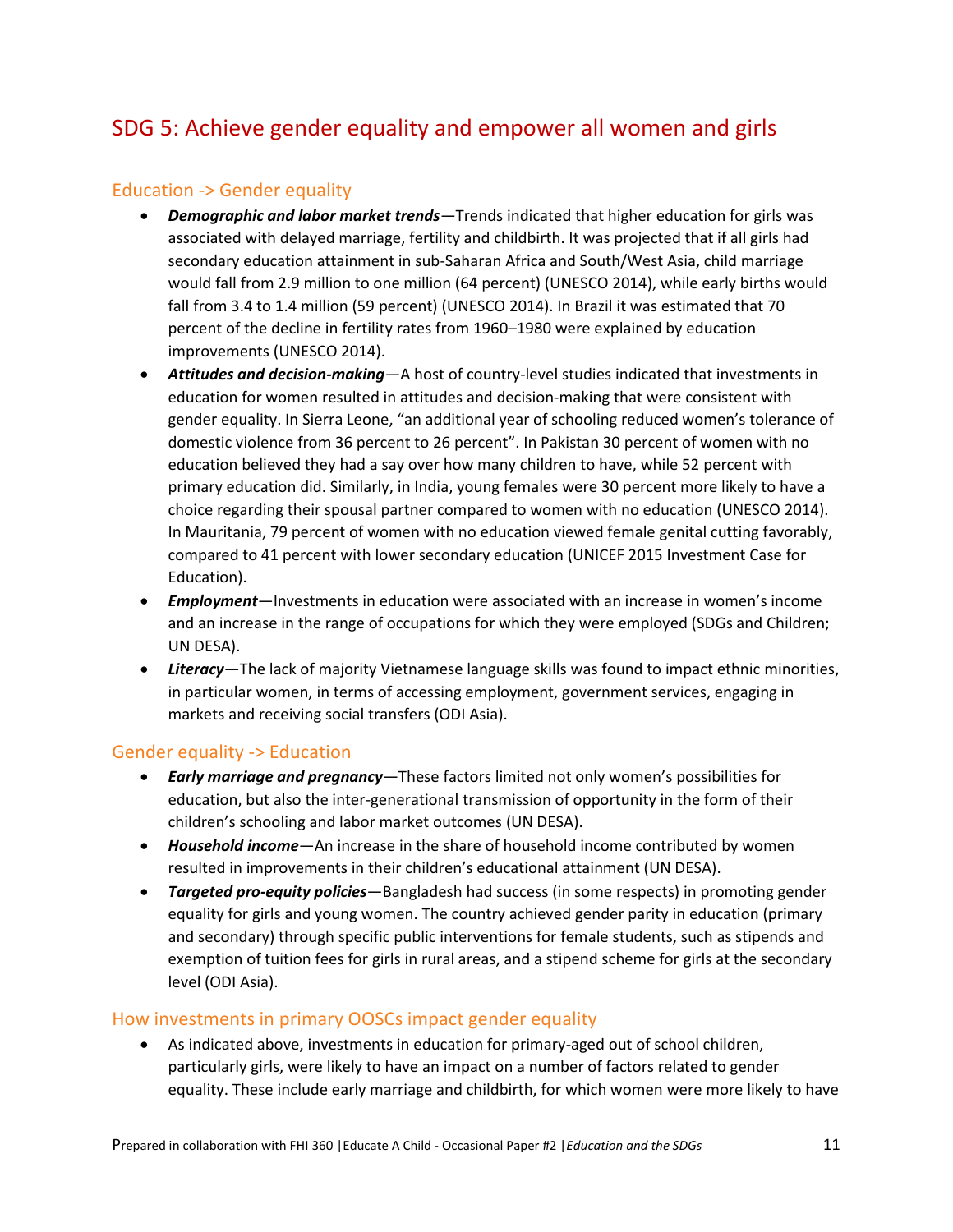## SDG 5: Achieve gender equality and empower all women and girls

### Education -> Gender equality

- *Demographic and labor market trends—*Trends indicated that higher education for girls was associated with delayed marriage, fertility and childbirth. It was projected that if all girls had secondary education attainment in sub-Saharan Africa and South/West Asia, child marriage would fall from 2.9 million to one million (64 percent) (UNESCO 2014), while early births would fall from 3.4 to 1.4 million (59 percent) (UNESCO 2014). In Brazil it was estimated that 70 percent of the decline in fertility rates from 1960–1980 were explained by education improvements (UNESCO 2014).
- *Attitudes and decision-making*—A host of country-level studies indicated that investments in education for women resulted in attitudes and decision-making that were consistent with gender equality. In Sierra Leone, "an additional year of schooling reduced women's tolerance of domestic violence from 36 percent to 26 percent". In Pakistan 30 percent of women with no education believed they had a say over how many children to have, while 52 percent with primary education did. Similarly, in India, young females were 30 percent more likely to have a choice regarding their spousal partner compared to women with no education (UNESCO 2014). In Mauritania, 79 percent of women with no education viewed female genital cutting favorably, compared to 41 percent with lower secondary education (UNICEF 2015 Investment Case for Education).
- *Employment*—Investments in education were associated with an increase in women's income and an increase in the range of occupations for which they were employed (SDGs and Children; UN DESA).
- *Literacy*—The lack of majority Vietnamese language skills was found to impact ethnic minorities, in particular women, in terms of accessing employment, government services, engaging in markets and receiving social transfers (ODI Asia).

### Gender equality -> Education

- *Early marriage and pregnancy—*These factors limited not only women's possibilities for education, but also the inter-generational transmission of opportunity in the form of their children's schooling and labor market outcomes (UN DESA).
- *Household income*—An increase in the share of household income contributed by women resulted in improvements in their children's educational attainment (UN DESA).
- *Targeted pro-equity policies*—Bangladesh had success (in some respects) in promoting gender equality for girls and young women. The country achieved gender parity in education (primary and secondary) through specific public interventions for female students, such as stipends and exemption of tuition fees for girls in rural areas, and a stipend scheme for girls at the secondary level (ODI Asia).

### How investments in primary OOSCs impact gender equality

 As indicated above, investments in education for primary-aged out of school children, particularly girls, were likely to have an impact on a number of factors related to gender equality. These include early marriage and childbirth, for which women were more likely to have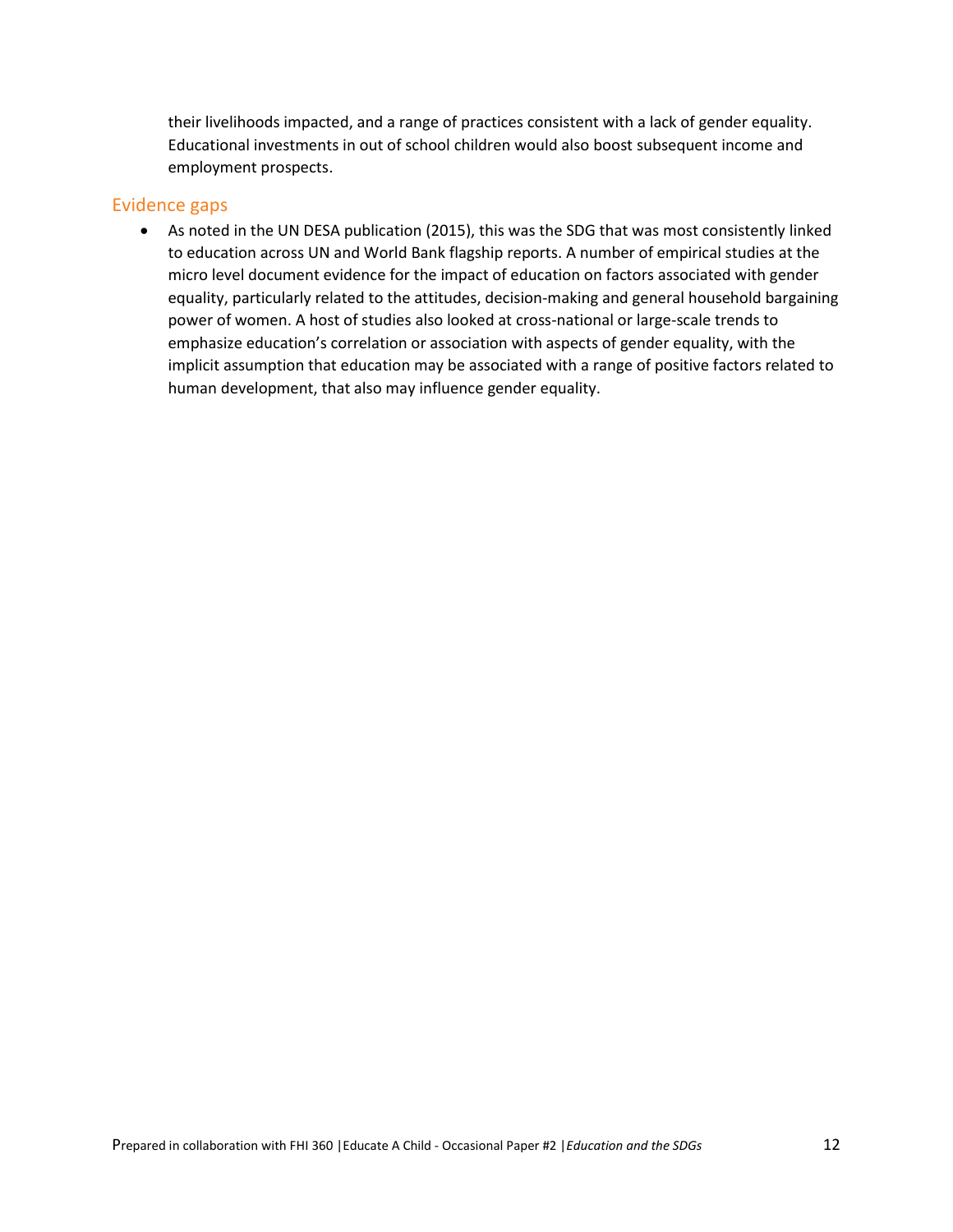their livelihoods impacted, and a range of practices consistent with a lack of gender equality. Educational investments in out of school children would also boost subsequent income and employment prospects.

#### Evidence gaps

 As noted in the UN DESA publication (2015), this was the SDG that was most consistently linked to education across UN and World Bank flagship reports. A number of empirical studies at the micro level document evidence for the impact of education on factors associated with gender equality, particularly related to the attitudes, decision-making and general household bargaining power of women. A host of studies also looked at cross-national or large-scale trends to emphasize education's correlation or association with aspects of gender equality, with the implicit assumption that education may be associated with a range of positive factors related to human development, that also may influence gender equality.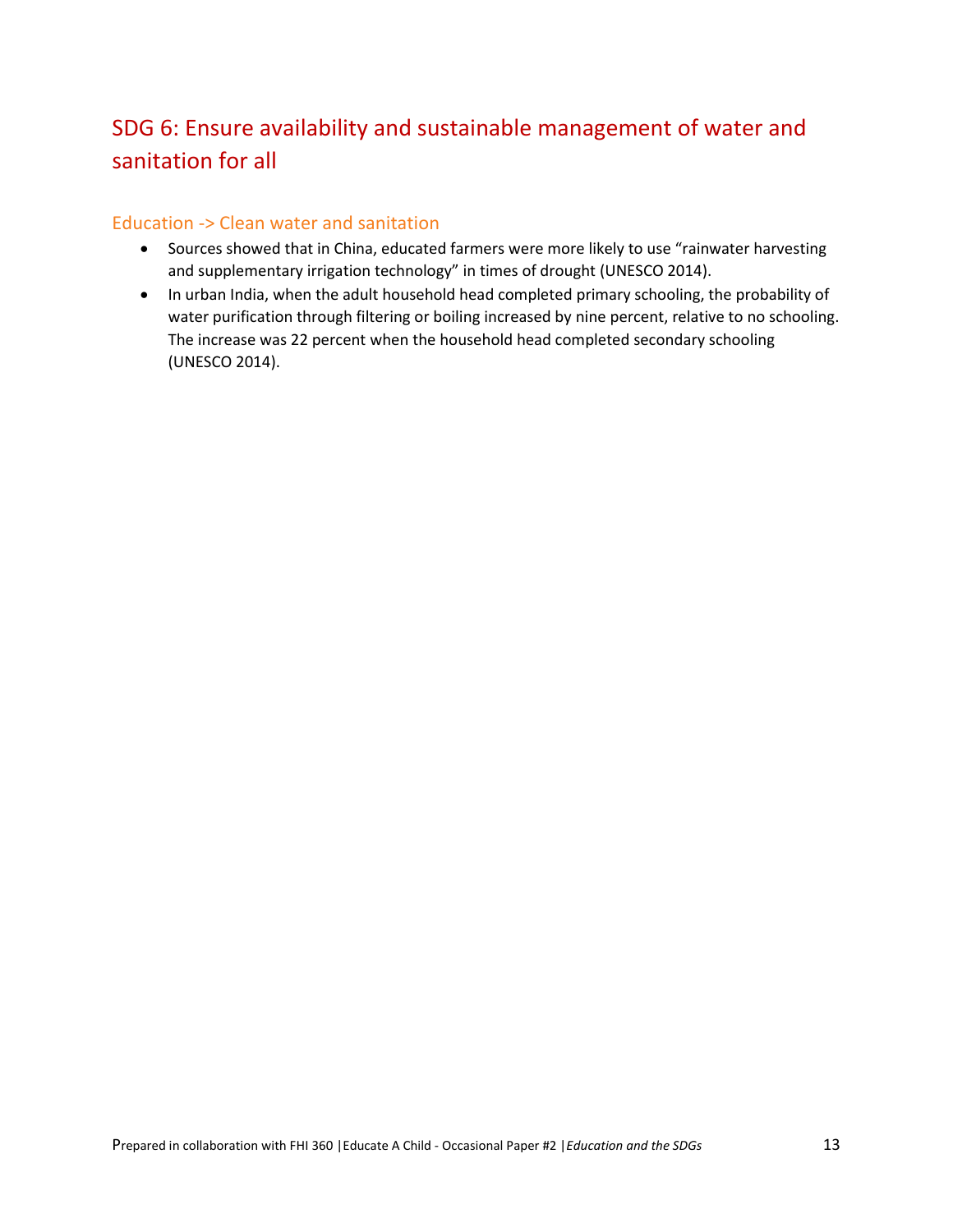# SDG 6: Ensure availability and sustainable management of water and sanitation for all

### Education -> Clean water and sanitation

- Sources showed that in China, educated farmers were more likely to use "rainwater harvesting and supplementary irrigation technology" in times of drought (UNESCO 2014).
- In urban India, when the adult household head completed primary schooling, the probability of water purification through filtering or boiling increased by nine percent, relative to no schooling. The increase was 22 percent when the household head completed secondary schooling (UNESCO 2014).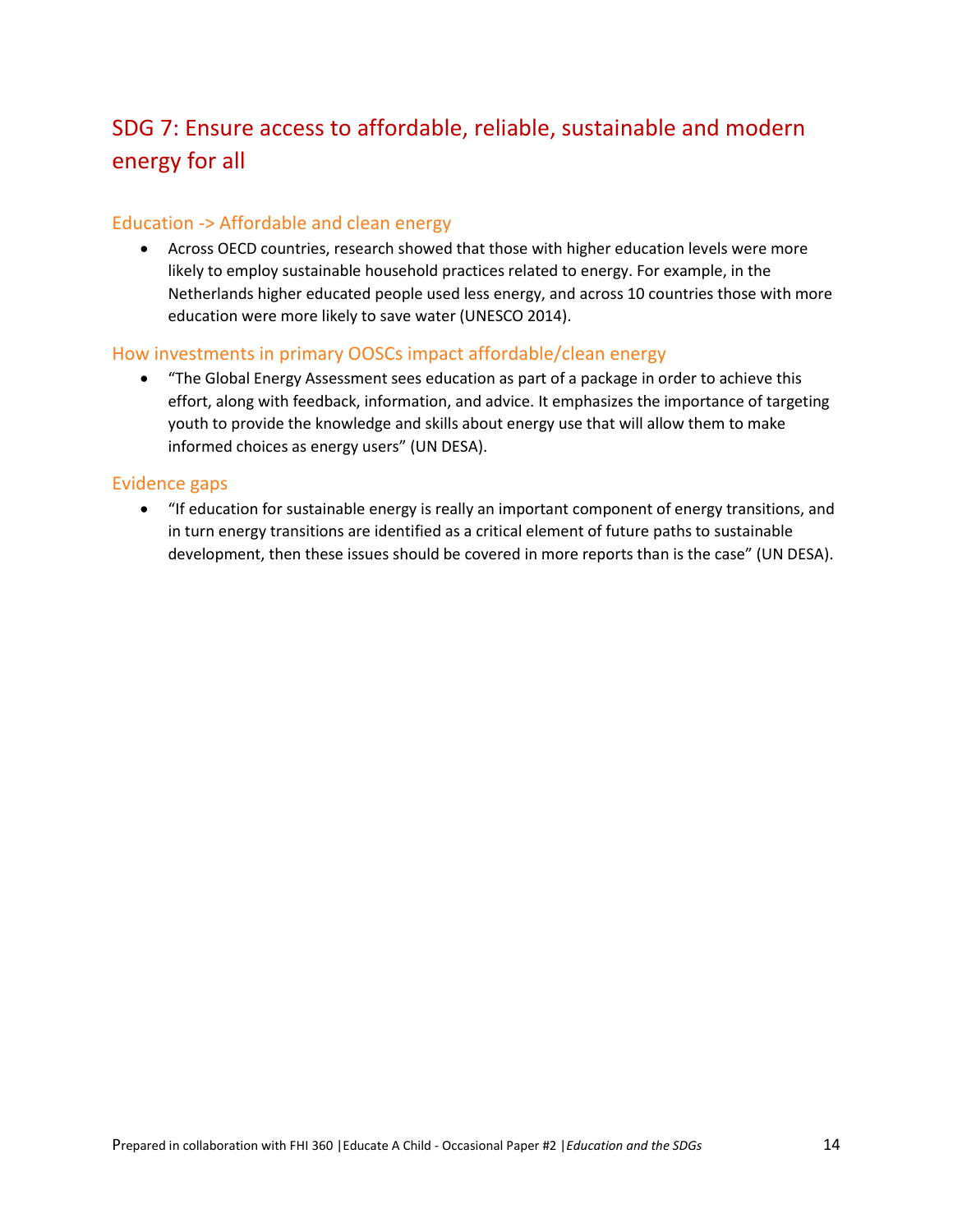# SDG 7: Ensure access to affordable, reliable, sustainable and modern energy for all

### Education -> Affordable and clean energy

 Across OECD countries, research showed that those with higher education levels were more likely to employ sustainable household practices related to energy. For example, in the Netherlands higher educated people used less energy, and across 10 countries those with more education were more likely to save water (UNESCO 2014).

### How investments in primary OOSCs impact affordable/clean energy

 "The Global Energy Assessment sees education as part of a package in order to achieve this effort, along with feedback, information, and advice. It emphasizes the importance of targeting youth to provide the knowledge and skills about energy use that will allow them to make informed choices as energy users" (UN DESA).

### Evidence gaps

 "If education for sustainable energy is really an important component of energy transitions, and in turn energy transitions are identified as a critical element of future paths to sustainable development, then these issues should be covered in more reports than is the case" (UN DESA).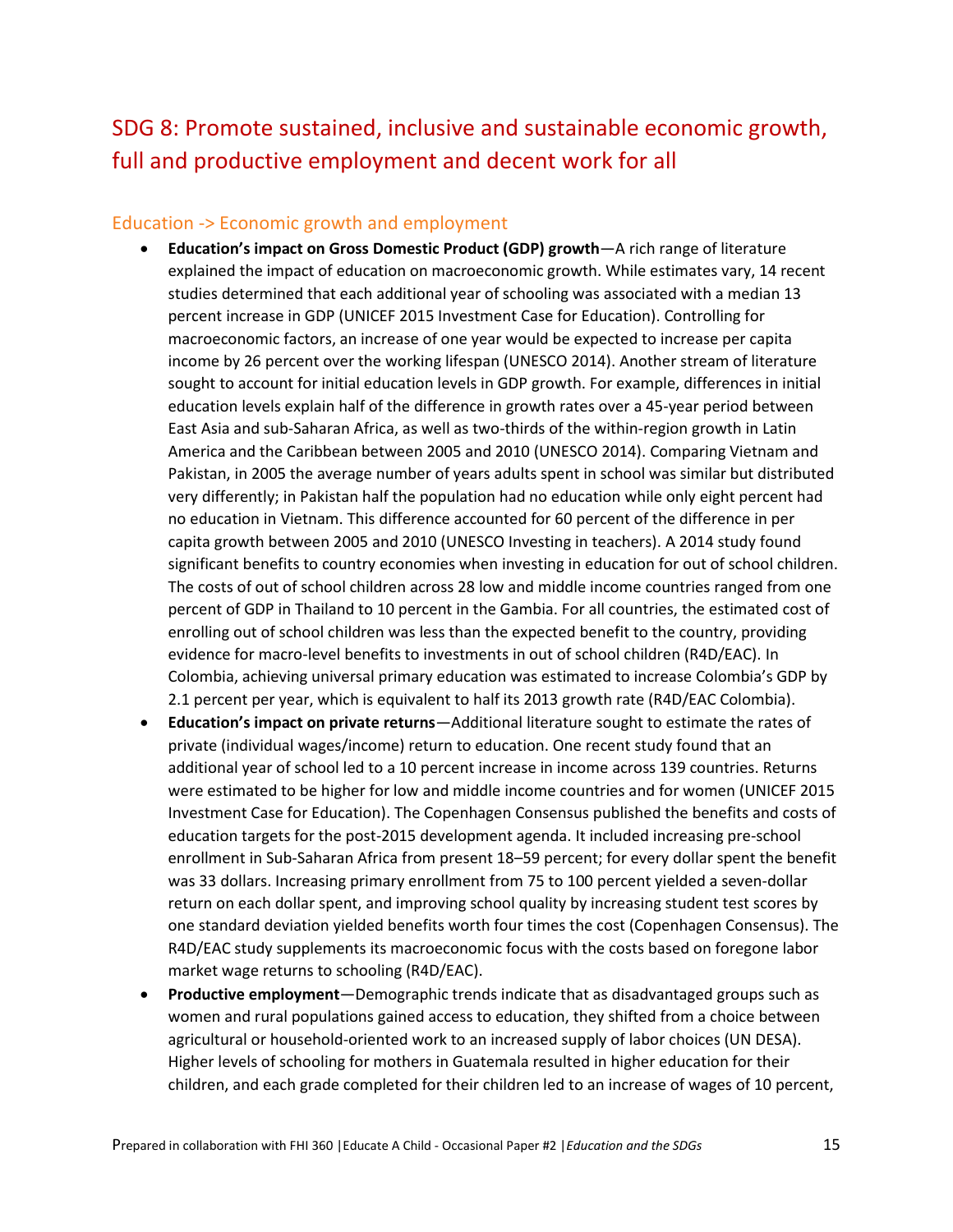# SDG 8: Promote sustained, inclusive and sustainable economic growth, full and productive employment and decent work for all

### Education -> Economic growth and employment

- **Education's impact on Gross Domestic Product (GDP) growth**—A rich range of literature explained the impact of education on macroeconomic growth. While estimates vary, 14 recent studies determined that each additional year of schooling was associated with a median 13 percent increase in GDP (UNICEF 2015 Investment Case for Education). Controlling for macroeconomic factors, an increase of one year would be expected to increase per capita income by 26 percent over the working lifespan (UNESCO 2014). Another stream of literature sought to account for initial education levels in GDP growth. For example, differences in initial education levels explain half of the difference in growth rates over a 45-year period between East Asia and sub-Saharan Africa, as well as two-thirds of the within-region growth in Latin America and the Caribbean between 2005 and 2010 (UNESCO 2014). Comparing Vietnam and Pakistan, in 2005 the average number of years adults spent in school was similar but distributed very differently; in Pakistan half the population had no education while only eight percent had no education in Vietnam. This difference accounted for 60 percent of the difference in per capita growth between 2005 and 2010 (UNESCO Investing in teachers). A 2014 study found significant benefits to country economies when investing in education for out of school children. The costs of out of school children across 28 low and middle income countries ranged from one percent of GDP in Thailand to 10 percent in the Gambia. For all countries, the estimated cost of enrolling out of school children was less than the expected benefit to the country, providing evidence for macro-level benefits to investments in out of school children (R4D/EAC). In Colombia, achieving universal primary education was estimated to increase Colombia's GDP by 2.1 percent per year, which is equivalent to half its 2013 growth rate (R4D/EAC Colombia).
- **Education's impact on private returns**—Additional literature sought to estimate the rates of private (individual wages/income) return to education. One recent study found that an additional year of school led to a 10 percent increase in income across 139 countries. Returns were estimated to be higher for low and middle income countries and for women (UNICEF 2015 Investment Case for Education). The Copenhagen Consensus published the benefits and costs of education targets for the post-2015 development agenda. It included increasing pre-school enrollment in Sub-Saharan Africa from present 18–59 percent; for every dollar spent the benefit was 33 dollars. Increasing primary enrollment from 75 to 100 percent yielded a seven-dollar return on each dollar spent, and improving school quality by increasing student test scores by one standard deviation yielded benefits worth four times the cost (Copenhagen Consensus). The R4D/EAC study supplements its macroeconomic focus with the costs based on foregone labor market wage returns to schooling (R4D/EAC).
- **Productive employment**—Demographic trends indicate that as disadvantaged groups such as women and rural populations gained access to education, they shifted from a choice between agricultural or household-oriented work to an increased supply of labor choices (UN DESA). Higher levels of schooling for mothers in Guatemala resulted in higher education for their children, and each grade completed for their children led to an increase of wages of 10 percent,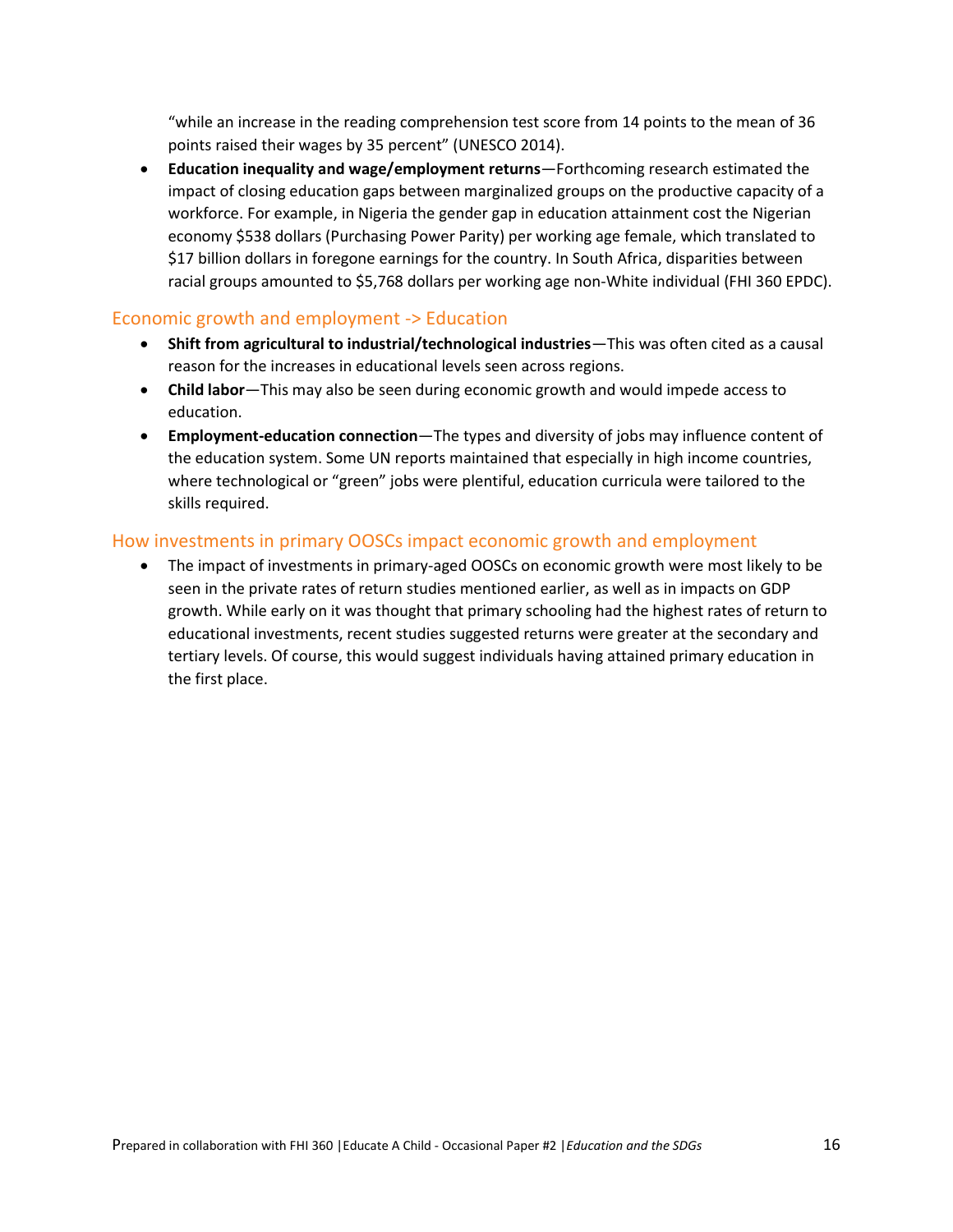"while an increase in the reading comprehension test score from 14 points to the mean of 36 points raised their wages by 35 percent" (UNESCO 2014).

 **Education inequality and wage/employment returns**—Forthcoming research estimated the impact of closing education gaps between marginalized groups on the productive capacity of a workforce. For example, in Nigeria the gender gap in education attainment cost the Nigerian economy \$538 dollars (Purchasing Power Parity) per working age female, which translated to \$17 billion dollars in foregone earnings for the country. In South Africa, disparities between racial groups amounted to \$5,768 dollars per working age non-White individual (FHI 360 EPDC).

### Economic growth and employment -> Education

- **Shift from agricultural to industrial/technological industries**—This was often cited as a causal reason for the increases in educational levels seen across regions.
- **Child labor**—This may also be seen during economic growth and would impede access to education.
- **Employment-education connection**—The types and diversity of jobs may influence content of the education system. Some UN reports maintained that especially in high income countries, where technological or "green" jobs were plentiful, education curricula were tailored to the skills required.

### How investments in primary OOSCs impact economic growth and employment

 The impact of investments in primary-aged OOSCs on economic growth were most likely to be seen in the private rates of return studies mentioned earlier, as well as in impacts on GDP growth. While early on it was thought that primary schooling had the highest rates of return to educational investments, recent studies suggested returns were greater at the secondary and tertiary levels. Of course, this would suggest individuals having attained primary education in the first place.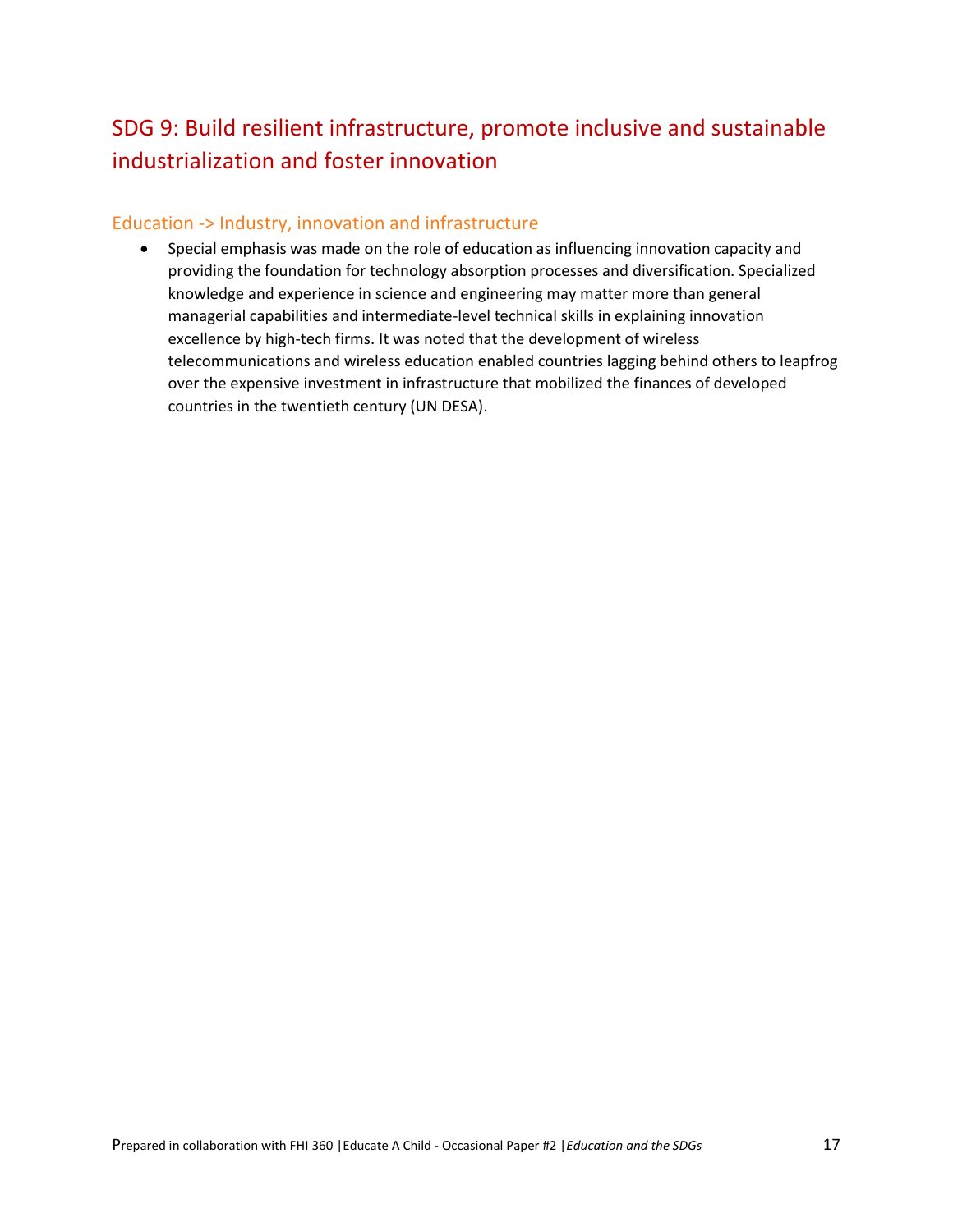# SDG 9: Build resilient infrastructure, promote inclusive and sustainable industrialization and foster innovation

### Education -> Industry, innovation and infrastructure

 Special emphasis was made on the role of education as influencing innovation capacity and providing the foundation for technology absorption processes and diversification. Specialized knowledge and experience in science and engineering may matter more than general managerial capabilities and intermediate-level technical skills in explaining innovation excellence by high-tech firms. It was noted that the development of wireless telecommunications and wireless education enabled countries lagging behind others to leapfrog over the expensive investment in infrastructure that mobilized the finances of developed countries in the twentieth century (UN DESA).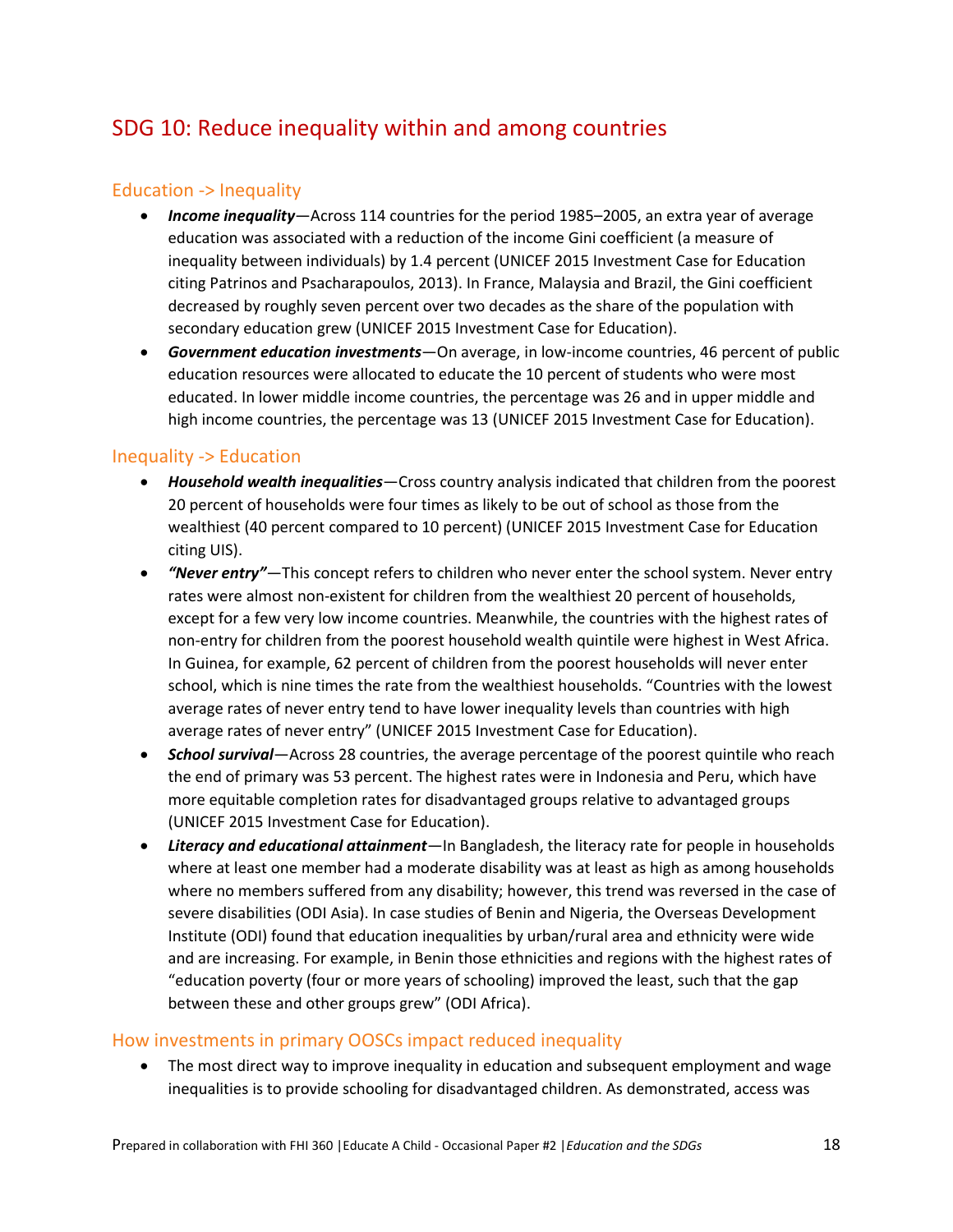### SDG 10: Reduce inequality within and among countries

### Education -> Inequality

- *Income inequality*—Across 114 countries for the period 1985–2005, an extra year of average education was associated with a reduction of the income Gini coefficient (a measure of inequality between individuals) by 1.4 percent (UNICEF 2015 Investment Case for Education citing Patrinos and Psacharapoulos, 2013). In France, Malaysia and Brazil, the Gini coefficient decreased by roughly seven percent over two decades as the share of the population with secondary education grew (UNICEF 2015 Investment Case for Education).
- *Government education investments*—On average, in low-income countries, 46 percent of public education resources were allocated to educate the 10 percent of students who were most educated. In lower middle income countries, the percentage was 26 and in upper middle and high income countries, the percentage was 13 (UNICEF 2015 Investment Case for Education).

### Inequality -> Education

- *Household wealth inequalities*—Cross country analysis indicated that children from the poorest 20 percent of households were four times as likely to be out of school as those from the wealthiest (40 percent compared to 10 percent) (UNICEF 2015 Investment Case for Education citing UIS).
- *"Never entry"*—This concept refers to children who never enter the school system. Never entry rates were almost non-existent for children from the wealthiest 20 percent of households, except for a few very low income countries. Meanwhile, the countries with the highest rates of non-entry for children from the poorest household wealth quintile were highest in West Africa. In Guinea, for example, 62 percent of children from the poorest households will never enter school, which is nine times the rate from the wealthiest households. "Countries with the lowest average rates of never entry tend to have lower inequality levels than countries with high average rates of never entry" (UNICEF 2015 Investment Case for Education).
- *School survival*—Across 28 countries, the average percentage of the poorest quintile who reach the end of primary was 53 percent. The highest rates were in Indonesia and Peru, which have more equitable completion rates for disadvantaged groups relative to advantaged groups (UNICEF 2015 Investment Case for Education).
- *Literacy and educational attainment*—In Bangladesh, the literacy rate for people in households where at least one member had a moderate disability was at least as high as among households where no members suffered from any disability; however, this trend was reversed in the case of severe disabilities (ODI Asia). In case studies of Benin and Nigeria, the Overseas Development Institute (ODI) found that education inequalities by urban/rural area and ethnicity were wide and are increasing. For example, in Benin those ethnicities and regions with the highest rates of "education poverty (four or more years of schooling) improved the least, such that the gap between these and other groups grew" (ODI Africa).

### How investments in primary OOSCs impact reduced inequality

 The most direct way to improve inequality in education and subsequent employment and wage inequalities is to provide schooling for disadvantaged children. As demonstrated, access was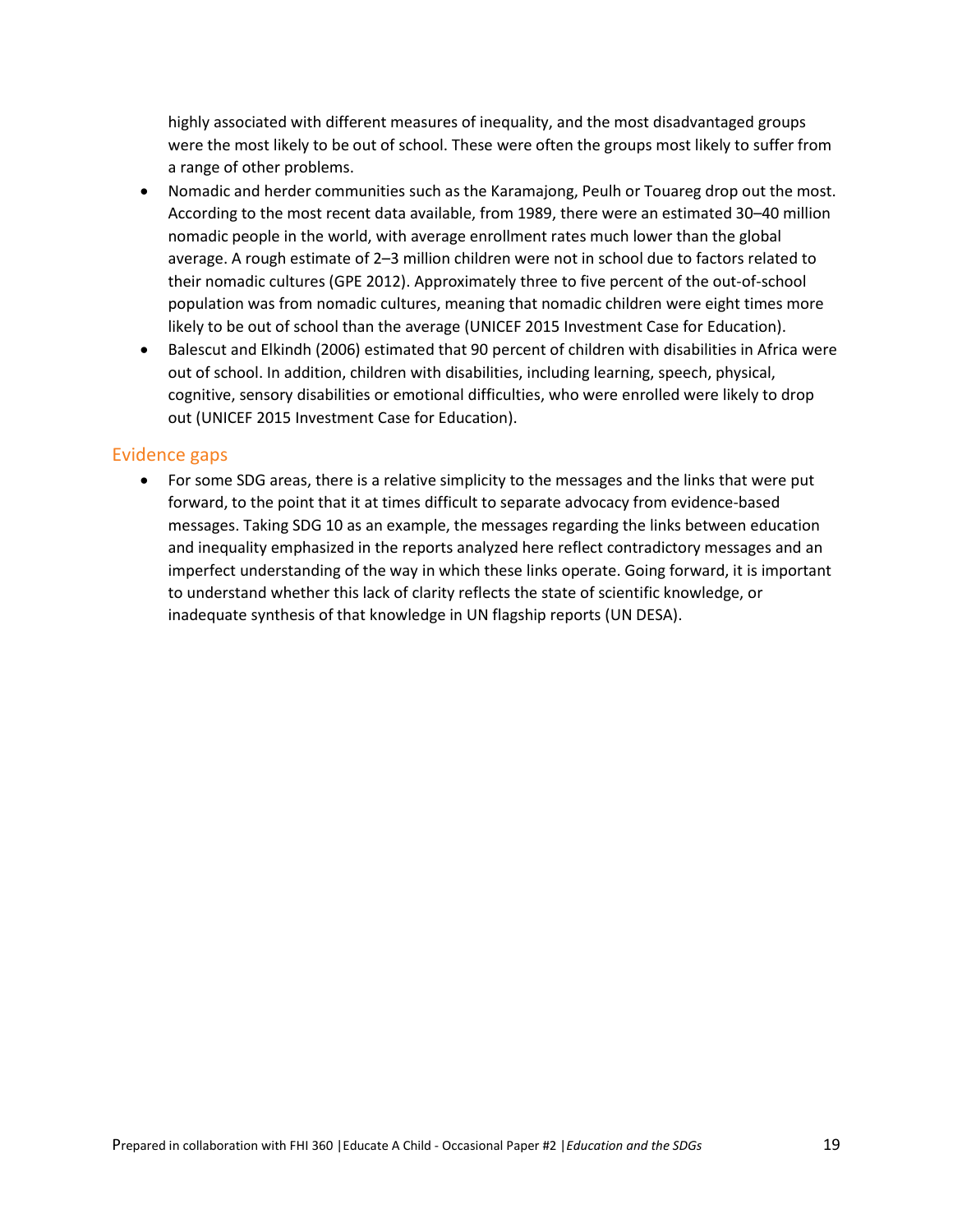highly associated with different measures of inequality, and the most disadvantaged groups were the most likely to be out of school. These were often the groups most likely to suffer from a range of other problems.

- Nomadic and herder communities such as the Karamajong, Peulh or Touareg drop out the most. According to the most recent data available, from 1989, there were an estimated 30–40 million nomadic people in the world, with average enrollment rates much lower than the global average. A rough estimate of 2–3 million children were not in school due to factors related to their nomadic cultures (GPE 2012). Approximately three to five percent of the out-of-school population was from nomadic cultures, meaning that nomadic children were eight times more likely to be out of school than the average (UNICEF 2015 Investment Case for Education).
- Balescut and Elkindh (2006) estimated that 90 percent of children with disabilities in Africa were out of school. In addition, children with disabilities, including learning, speech, physical, cognitive, sensory disabilities or emotional difficulties, who were enrolled were likely to drop out (UNICEF 2015 Investment Case for Education).

### Evidence gaps

• For some SDG areas, there is a relative simplicity to the messages and the links that were put forward, to the point that it at times difficult to separate advocacy from evidence-based messages. Taking SDG 10 as an example, the messages regarding the links between education and inequality emphasized in the reports analyzed here reflect contradictory messages and an imperfect understanding of the way in which these links operate. Going forward, it is important to understand whether this lack of clarity reflects the state of scientific knowledge, or inadequate synthesis of that knowledge in UN flagship reports (UN DESA).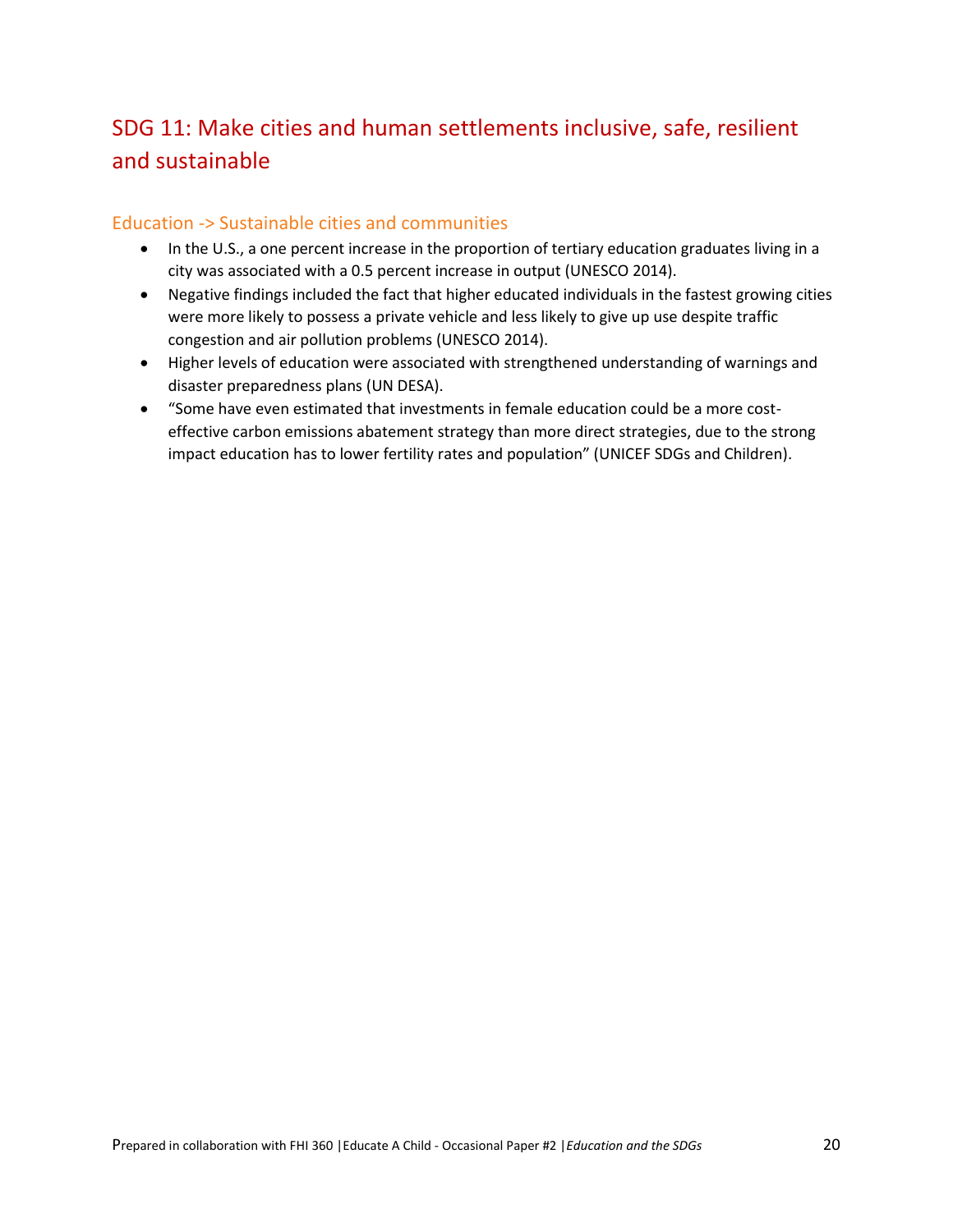# SDG 11: Make cities and human settlements inclusive, safe, resilient and sustainable

### Education -> Sustainable cities and communities

- In the U.S., a one percent increase in the proportion of tertiary education graduates living in a city was associated with a 0.5 percent increase in output (UNESCO 2014).
- Negative findings included the fact that higher educated individuals in the fastest growing cities were more likely to possess a private vehicle and less likely to give up use despite traffic congestion and air pollution problems (UNESCO 2014).
- Higher levels of education were associated with strengthened understanding of warnings and disaster preparedness plans (UN DESA).
- "Some have even estimated that investments in female education could be a more costeffective carbon emissions abatement strategy than more direct strategies, due to the strong impact education has to lower fertility rates and population" (UNICEF SDGs and Children).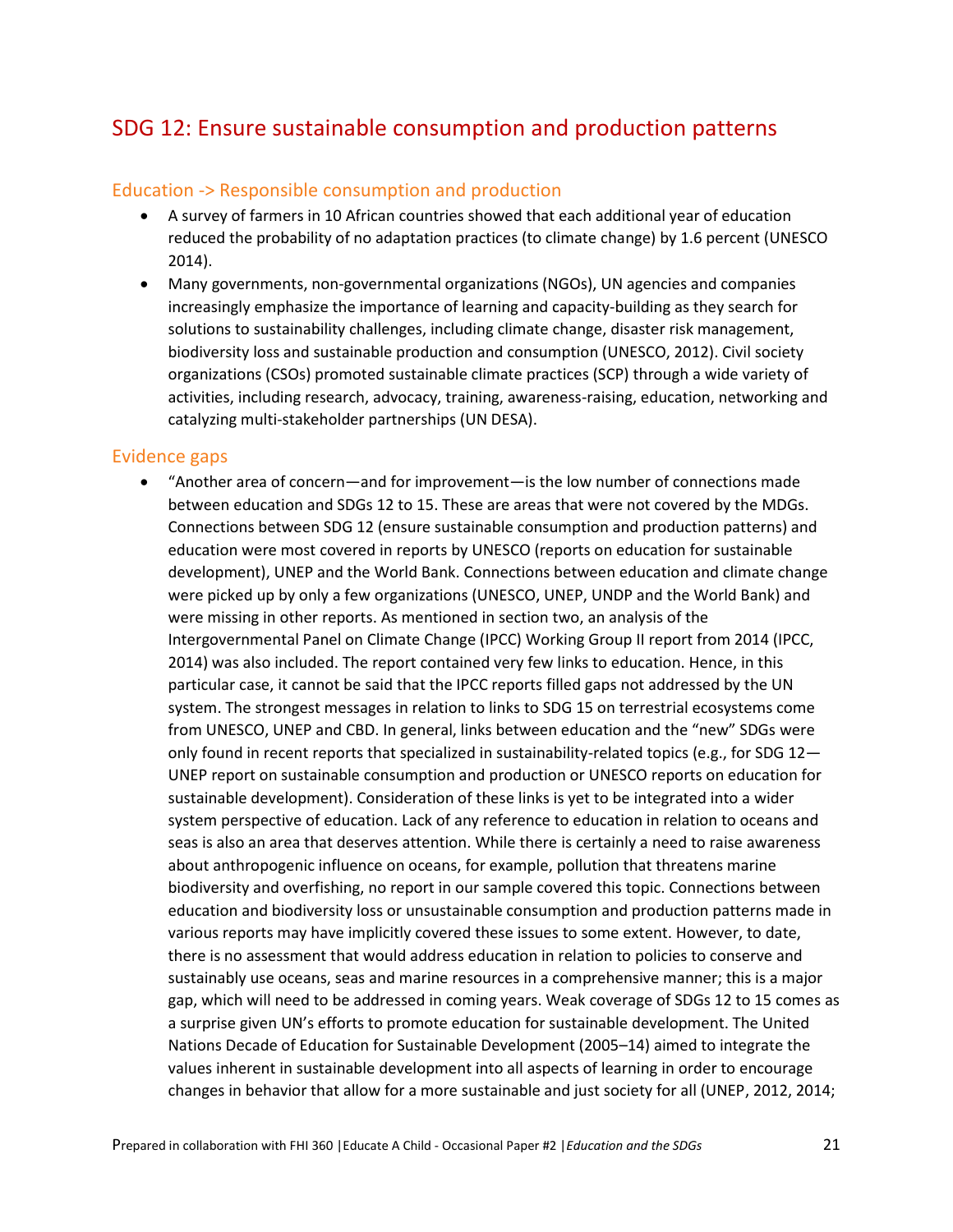### SDG 12: Ensure sustainable consumption and production patterns

### Education -> Responsible consumption and production

- A survey of farmers in 10 African countries showed that each additional year of education reduced the probability of no adaptation practices (to climate change) by 1.6 percent (UNESCO 2014).
- Many governments, non-governmental organizations (NGOs), UN agencies and companies increasingly emphasize the importance of learning and capacity-building as they search for solutions to sustainability challenges, including climate change, disaster risk management, biodiversity loss and sustainable production and consumption (UNESCO, 2012). Civil society organizations (CSOs) promoted sustainable climate practices (SCP) through a wide variety of activities, including research, advocacy, training, awareness-raising, education, networking and catalyzing multi-stakeholder partnerships (UN DESA).

#### Evidence gaps

 "Another area of concern—and for improvement—is the low number of connections made between education and SDGs 12 to 15. These are areas that were not covered by the MDGs. Connections between SDG 12 (ensure sustainable consumption and production patterns) and education were most covered in reports by UNESCO (reports on education for sustainable development), UNEP and the World Bank. Connections between education and climate change were picked up by only a few organizations (UNESCO, UNEP, UNDP and the World Bank) and were missing in other reports. As mentioned in section two, an analysis of the Intergovernmental Panel on Climate Change (IPCC) Working Group II report from 2014 (IPCC, 2014) was also included. The report contained very few links to education. Hence, in this particular case, it cannot be said that the IPCC reports filled gaps not addressed by the UN system. The strongest messages in relation to links to SDG 15 on terrestrial ecosystems come from UNESCO, UNEP and CBD. In general, links between education and the "new" SDGs were only found in recent reports that specialized in sustainability-related topics (e.g., for SDG 12-UNEP report on sustainable consumption and production or UNESCO reports on education for sustainable development). Consideration of these links is yet to be integrated into a wider system perspective of education. Lack of any reference to education in relation to oceans and seas is also an area that deserves attention. While there is certainly a need to raise awareness about anthropogenic influence on oceans, for example, pollution that threatens marine biodiversity and overfishing, no report in our sample covered this topic. Connections between education and biodiversity loss or unsustainable consumption and production patterns made in various reports may have implicitly covered these issues to some extent. However, to date, there is no assessment that would address education in relation to policies to conserve and sustainably use oceans, seas and marine resources in a comprehensive manner; this is a major gap, which will need to be addressed in coming years. Weak coverage of SDGs 12 to 15 comes as a surprise given UN's efforts to promote education for sustainable development. The United Nations Decade of Education for Sustainable Development (2005–14) aimed to integrate the values inherent in sustainable development into all aspects of learning in order to encourage changes in behavior that allow for a more sustainable and just society for all (UNEP, 2012, 2014;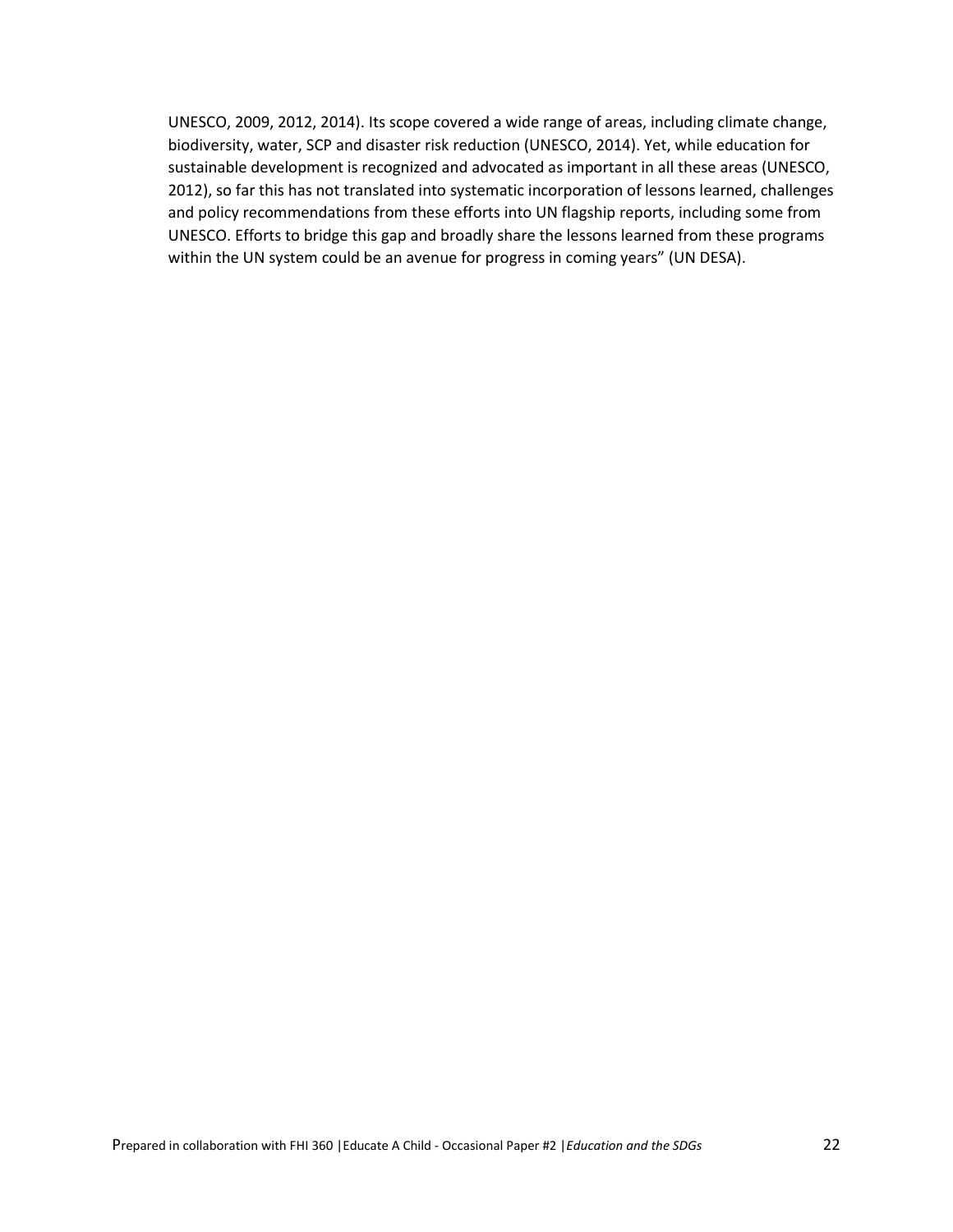UNESCO, 2009, 2012, 2014). Its scope covered a wide range of areas, including climate change, biodiversity, water, SCP and disaster risk reduction (UNESCO, 2014). Yet, while education for sustainable development is recognized and advocated as important in all these areas (UNESCO, 2012), so far this has not translated into systematic incorporation of lessons learned, challenges and policy recommendations from these efforts into UN flagship reports, including some from UNESCO. Efforts to bridge this gap and broadly share the lessons learned from these programs within the UN system could be an avenue for progress in coming years" (UN DESA).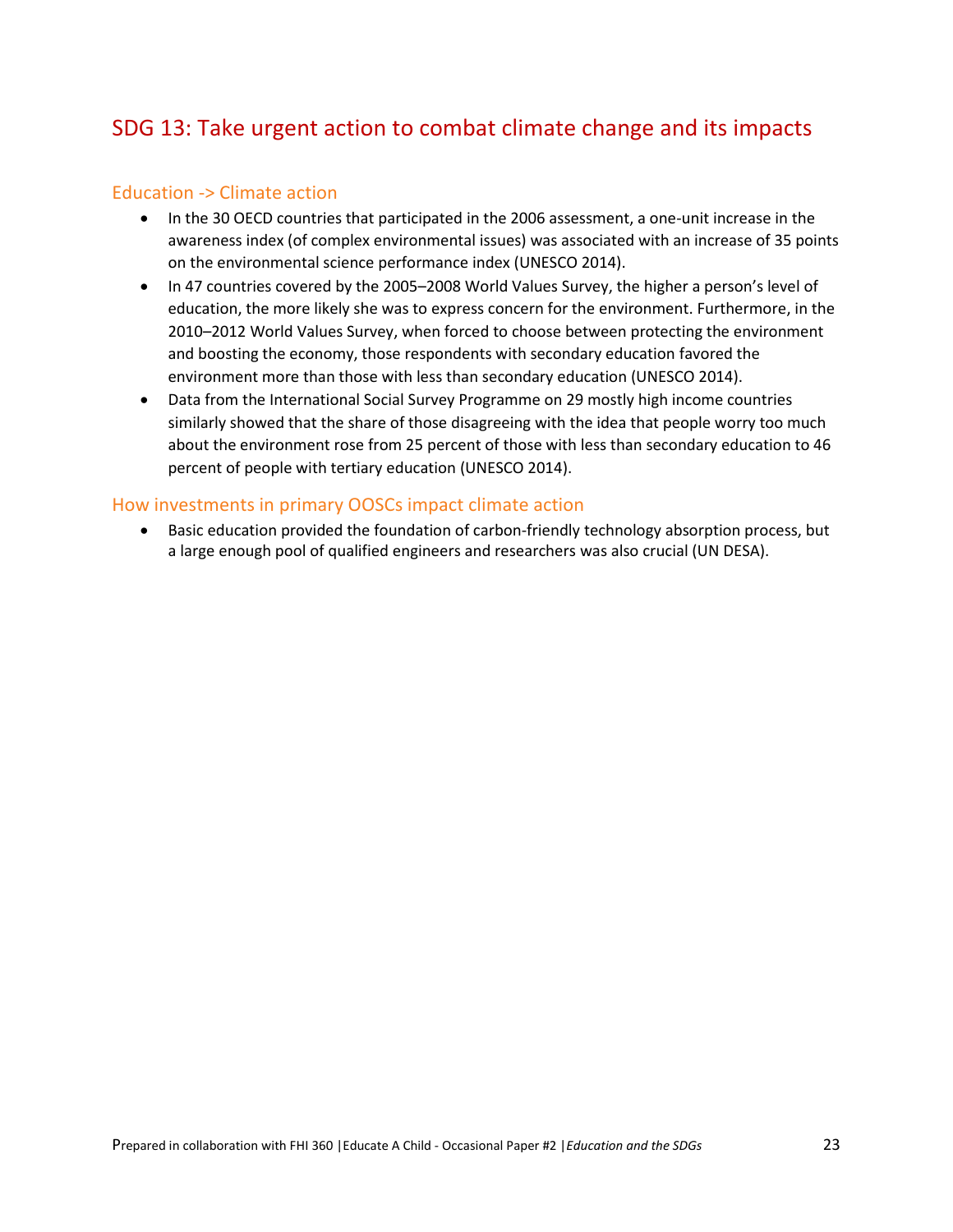### SDG 13: Take urgent action to combat climate change and its impacts

### Education -> Climate action

- In the 30 OECD countries that participated in the 2006 assessment, a one-unit increase in the awareness index (of complex environmental issues) was associated with an increase of 35 points on the environmental science performance index (UNESCO 2014).
- In 47 countries covered by the 2005–2008 World Values Survey, the higher a person's level of education, the more likely she was to express concern for the environment. Furthermore, in the 2010–2012 World Values Survey, when forced to choose between protecting the environment and boosting the economy, those respondents with secondary education favored the environment more than those with less than secondary education (UNESCO 2014).
- Data from the International Social Survey Programme on 29 mostly high income countries similarly showed that the share of those disagreeing with the idea that people worry too much about the environment rose from 25 percent of those with less than secondary education to 46 percent of people with tertiary education (UNESCO 2014).

### How investments in primary OOSCs impact climate action

 Basic education provided the foundation of carbon-friendly technology absorption process, but a large enough pool of qualified engineers and researchers was also crucial (UN DESA).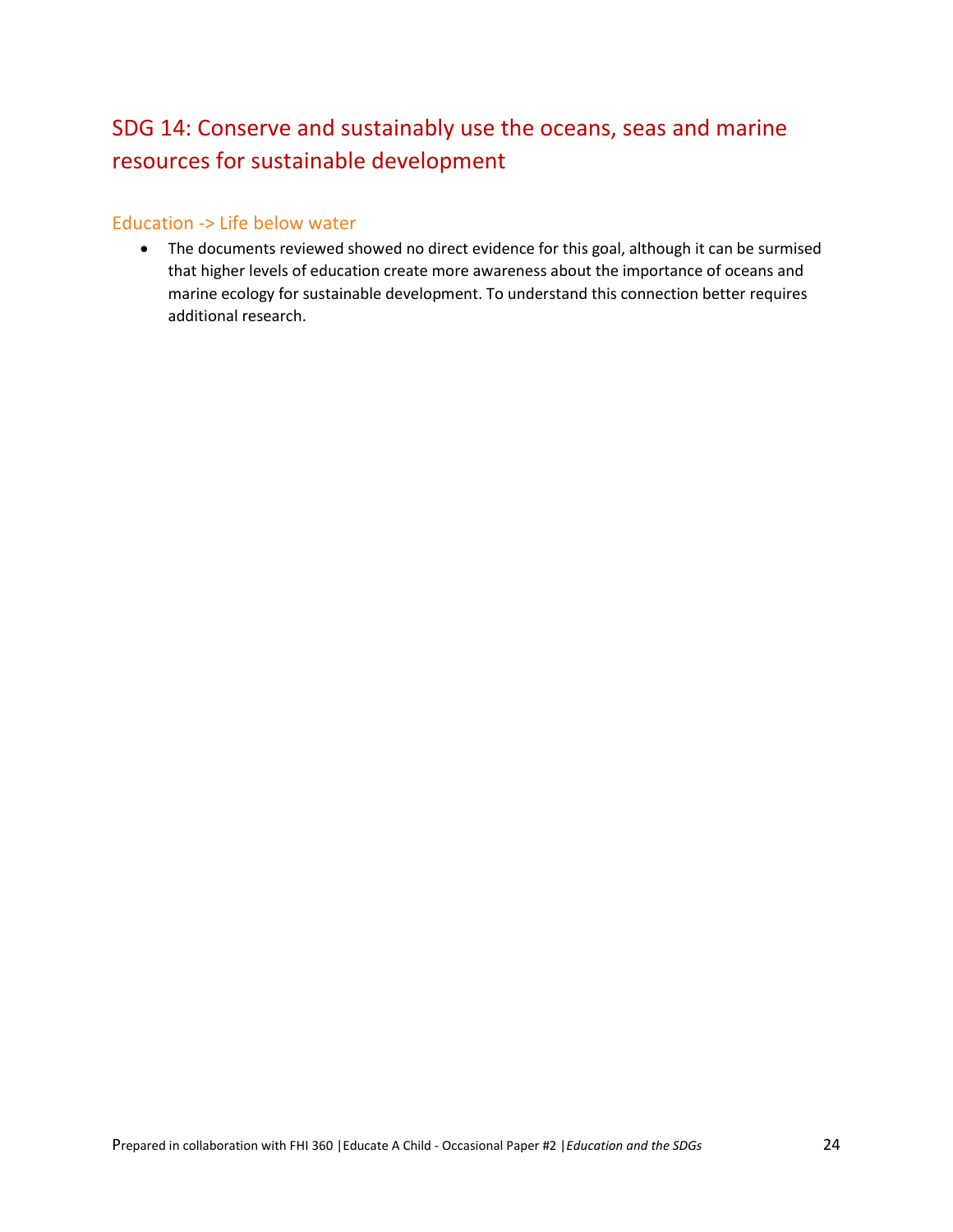# SDG 14: Conserve and sustainably use the oceans, seas and marine resources for sustainable development

### Education -> Life below water

• The documents reviewed showed no direct evidence for this goal, although it can be surmised that higher levels of education create more awareness about the importance of oceans and marine ecology for sustainable development. To understand this connection better requires additional research.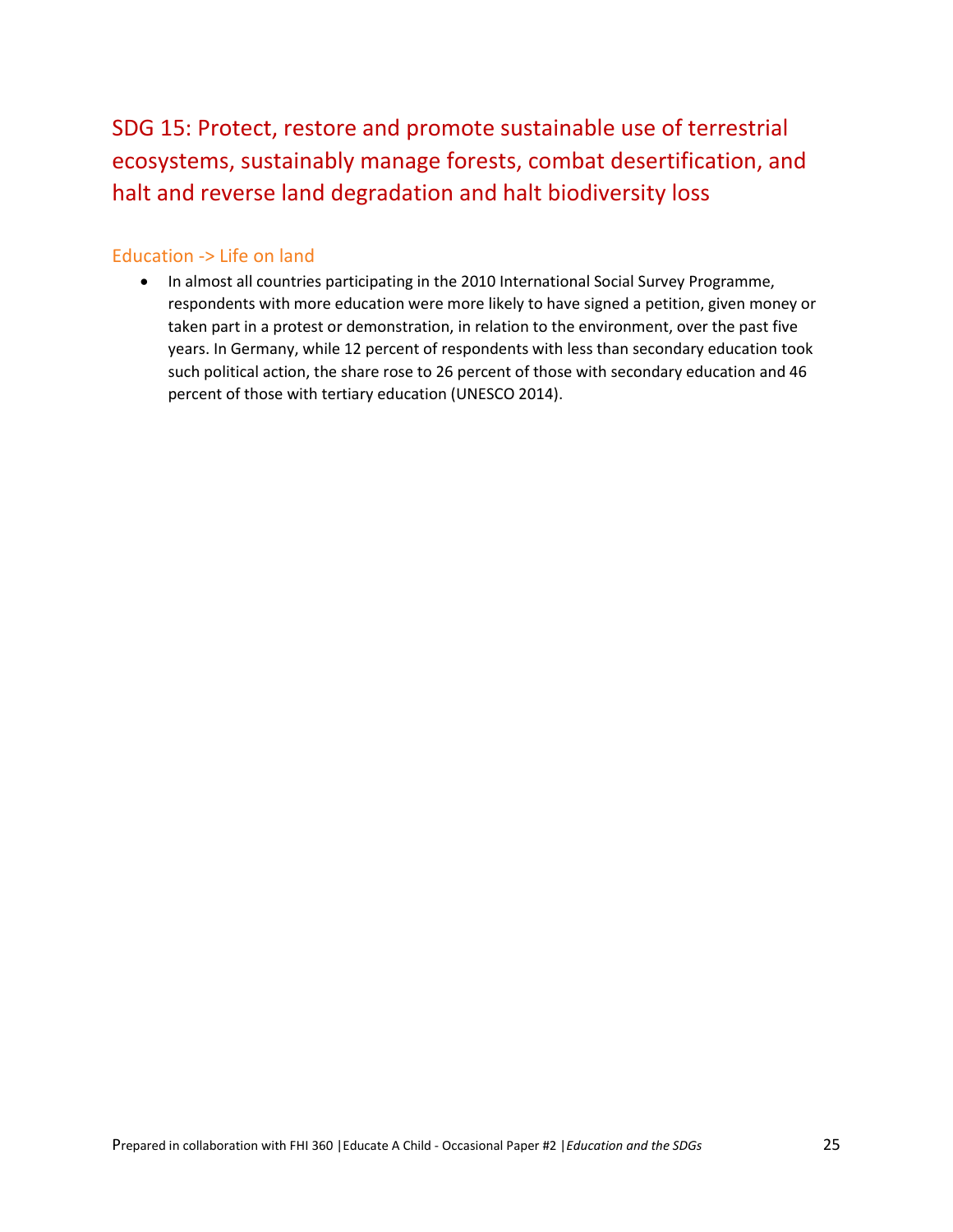SDG 15: Protect, restore and promote sustainable use of terrestrial ecosystems, sustainably manage forests, combat desertification, and halt and reverse land degradation and halt biodiversity loss

### Education -> Life on land

• In almost all countries participating in the 2010 International Social Survey Programme, respondents with more education were more likely to have signed a petition, given money or taken part in a protest or demonstration, in relation to the environment, over the past five years. In Germany, while 12 percent of respondents with less than secondary education took such political action, the share rose to 26 percent of those with secondary education and 46 percent of those with tertiary education (UNESCO 2014).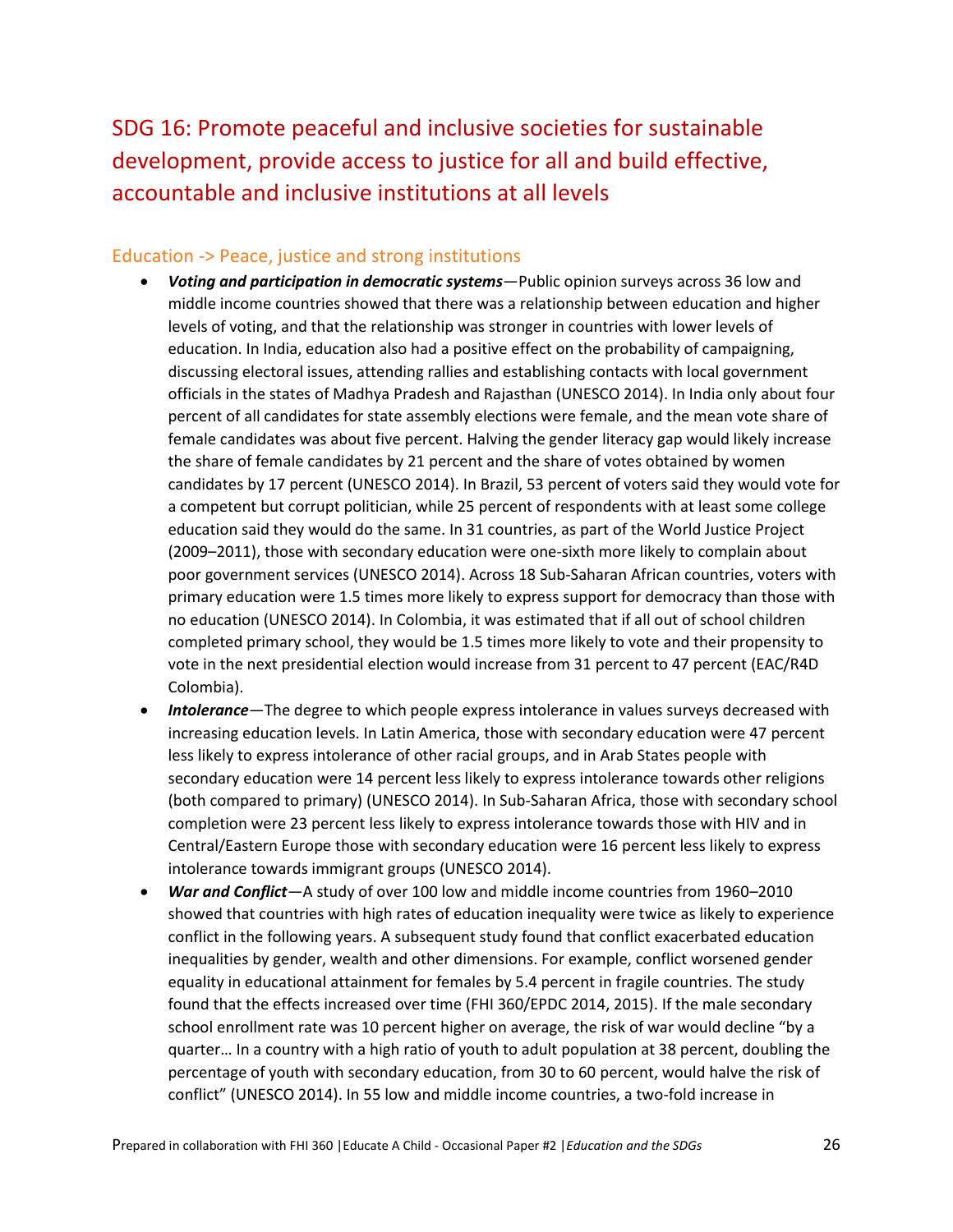SDG 16: Promote peaceful and inclusive societies for sustainable development, provide access to justice for all and build effective, accountable and inclusive institutions at all levels

### Education -> Peace, justice and strong institutions

- *Voting and participation in democratic systems*—Public opinion surveys across 36 low and middle income countries showed that there was a relationship between education and higher levels of voting, and that the relationship was stronger in countries with lower levels of education. In India, education also had a positive effect on the probability of campaigning, discussing electoral issues, attending rallies and establishing contacts with local government officials in the states of Madhya Pradesh and Rajasthan (UNESCO 2014). In India only about four percent of all candidates for state assembly elections were female, and the mean vote share of female candidates was about five percent. Halving the gender literacy gap would likely increase the share of female candidates by 21 percent and the share of votes obtained by women candidates by 17 percent (UNESCO 2014). In Brazil, 53 percent of voters said they would vote for a competent but corrupt politician, while 25 percent of respondents with at least some college education said they would do the same. In 31 countries, as part of the World Justice Project (2009–2011), those with secondary education were one-sixth more likely to complain about poor government services (UNESCO 2014). Across 18 Sub-Saharan African countries, voters with primary education were 1.5 times more likely to express support for democracy than those with no education (UNESCO 2014). In Colombia, it was estimated that if all out of school children completed primary school, they would be 1.5 times more likely to vote and their propensity to vote in the next presidential election would increase from 31 percent to 47 percent (EAC/R4D Colombia).
- *Intolerance*—The degree to which people express intolerance in values surveys decreased with increasing education levels. In Latin America, those with secondary education were 47 percent less likely to express intolerance of other racial groups, and in Arab States people with secondary education were 14 percent less likely to express intolerance towards other religions (both compared to primary) (UNESCO 2014). In Sub-Saharan Africa, those with secondary school completion were 23 percent less likely to express intolerance towards those with HIV and in Central/Eastern Europe those with secondary education were 16 percent less likely to express intolerance towards immigrant groups (UNESCO 2014).
- *War and Conflict*—A study of over 100 low and middle income countries from 1960–2010 showed that countries with high rates of education inequality were twice as likely to experience conflict in the following years. A subsequent study found that conflict exacerbated education inequalities by gender, wealth and other dimensions. For example, conflict worsened gender equality in educational attainment for females by 5.4 percent in fragile countries. The study found that the effects increased over time (FHI 360/EPDC 2014, 2015). If the male secondary school enrollment rate was 10 percent higher on average, the risk of war would decline "by a quarter… In a country with a high ratio of youth to adult population at 38 percent, doubling the percentage of youth with secondary education, from 30 to 60 percent, would halve the risk of conflict" (UNESCO 2014). In 55 low and middle income countries, a two-fold increase in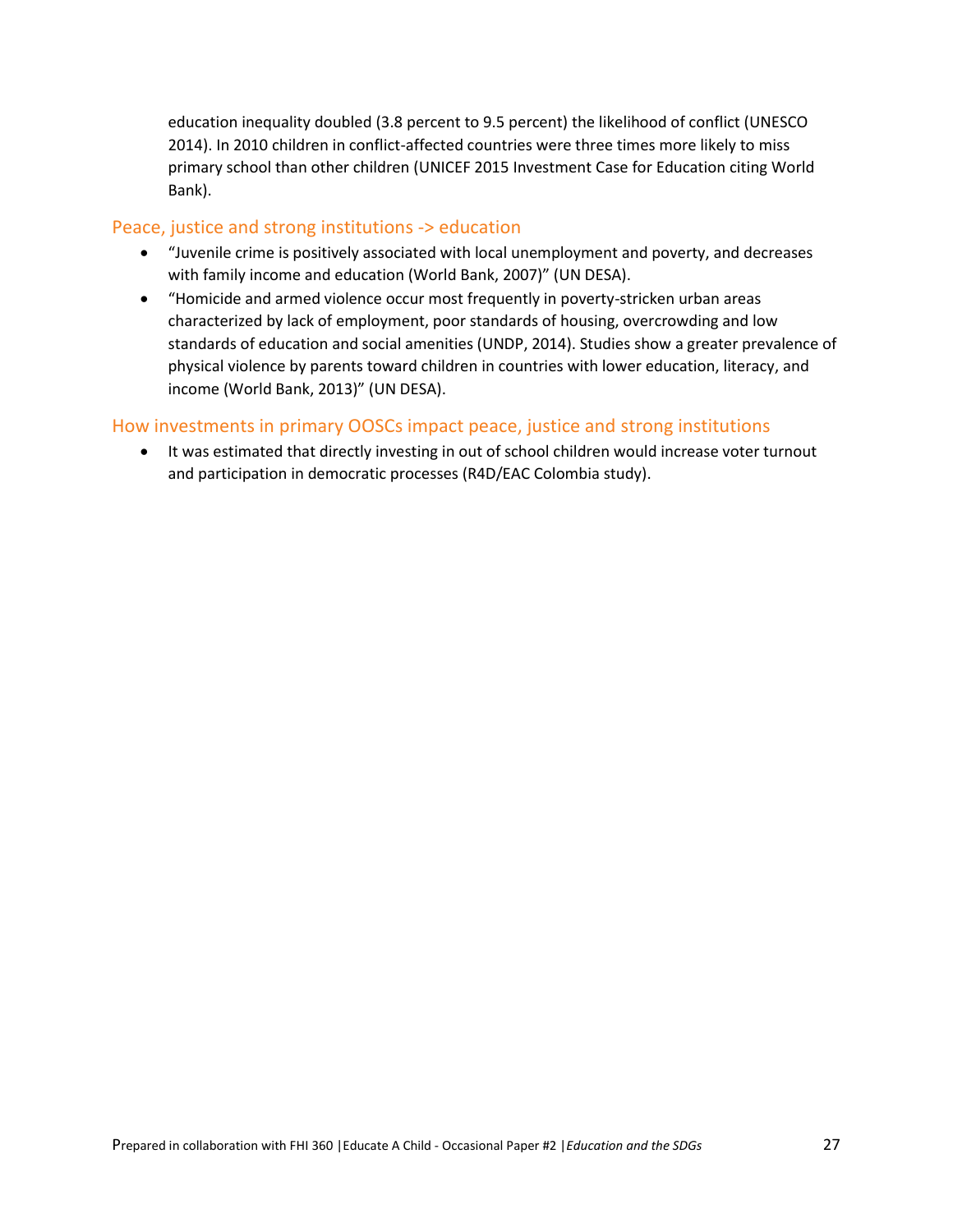education inequality doubled (3.8 percent to 9.5 percent) the likelihood of conflict (UNESCO 2014). In 2010 children in conflict-affected countries were three times more likely to miss primary school than other children (UNICEF 2015 Investment Case for Education citing World Bank).

### Peace, justice and strong institutions -> education

- "Juvenile crime is positively associated with local unemployment and poverty, and decreases with family income and education (World Bank, 2007)" (UN DESA).
- "Homicide and armed violence occur most frequently in poverty-stricken urban areas characterized by lack of employment, poor standards of housing, overcrowding and low standards of education and social amenities (UNDP, 2014). Studies show a greater prevalence of physical violence by parents toward children in countries with lower education, literacy, and income (World Bank, 2013)" (UN DESA).

### How investments in primary OOSCs impact peace, justice and strong institutions

• It was estimated that directly investing in out of school children would increase voter turnout and participation in democratic processes (R4D/EAC Colombia study).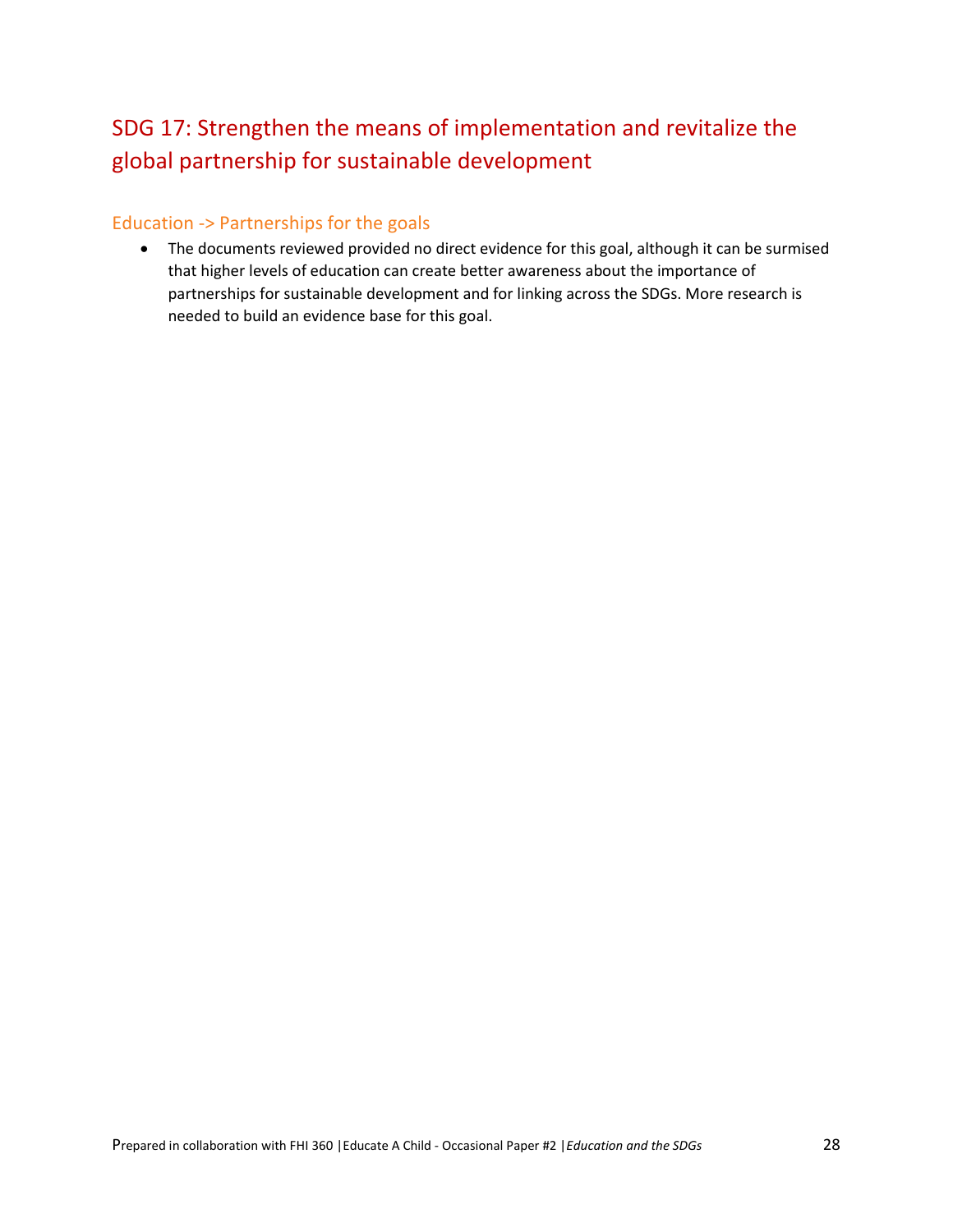# SDG 17: Strengthen the means of implementation and revitalize the global partnership for sustainable development

### Education -> Partnerships for the goals

 The documents reviewed provided no direct evidence for this goal, although it can be surmised that higher levels of education can create better awareness about the importance of partnerships for sustainable development and for linking across the SDGs. More research is needed to build an evidence base for this goal.